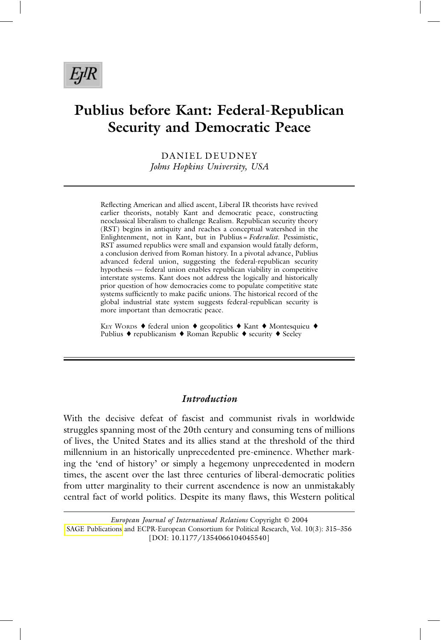# **Publius before Kant: Federal-Republican Security and Democratic Peace**

DANIEL DEUDNEY *Johns Hopkins University, USA*

Reflecting American and allied ascent, Liberal IR theorists have revived earlier theorists, notably Kant and democratic peace, constructing neoclassical liberalism to challenge Realism. Republican security theory (RST) begins in antiquity and reaches a conceptual watershed in the Enlightenment, not in Kant, but in Publius = *Federalist*. Pessimistic, RST assumed republics were small and expansion would fatally deform, a conclusion derived from Roman history. In a pivotal advance, Publius advanced federal union, suggesting the federal-republican security hypothesis — federal union enables republican viability in competitive interstate systems. Kant does not address the logically and historically prior question of how democracies come to populate competitive state systems sufficiently to make pacific unions. The historical record of the global industrial state system suggests federal-republican security is more important than democratic peace.

KEY WORDS ♦ federal union ♦ geopolitics ♦ Kant ♦ Montesquieu ♦ Publius ♦ republicanism ♦ Roman Republic ♦ security ♦ Seeley

# *Introduction*

With the decisive defeat of fascist and communist rivals in worldwide struggles spanning most of the 20th century and consuming tens of millions of lives, the United States and its allies stand at the threshold of the third millennium in an historically unprecedented pre-eminence. Whether marking the 'end of history' or simply a hegemony unprecedented in modern times, the ascent over the last three centuries of liberal-democratic polities from utter marginality to their current ascendence is now an unmistakably central fact of world politics. Despite its many flaws, this Western political

*European Journal of International Relations* Copyright © 2004 [SAGE Publications](www.sagepublications.com) and ECPR-European Consortium for Political Research, Vol. 10(3): 315–356 [DOI: 10.1177/1354066104045540]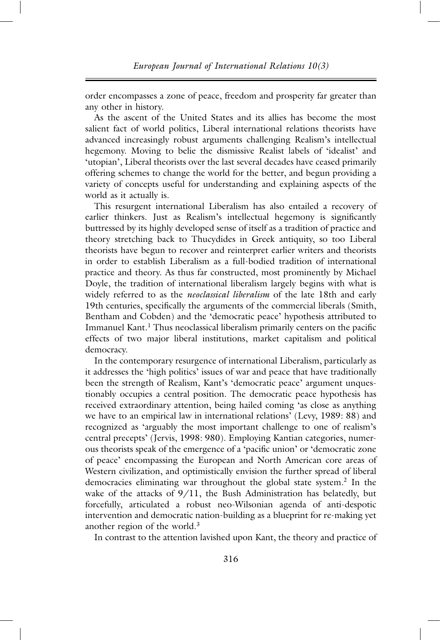order encompasses a zone of peace, freedom and prosperity far greater than any other in history.

As the ascent of the United States and its allies has become the most salient fact of world politics, Liberal international relations theorists have advanced increasingly robust arguments challenging Realism's intellectual hegemony. Moving to belie the dismissive Realist labels of 'idealist' and 'utopian', Liberal theorists over the last several decades have ceased primarily offering schemes to change the world for the better, and begun providing a variety of concepts useful for understanding and explaining aspects of the world as it actually is.

This resurgent international Liberalism has also entailed a recovery of earlier thinkers. Just as Realism's intellectual hegemony is significantly buttressed by its highly developed sense of itself as a tradition of practice and theory stretching back to Thucydides in Greek antiquity, so too Liberal theorists have begun to recover and reinterpret earlier writers and theorists in order to establish Liberalism as a full-bodied tradition of international practice and theory. As thus far constructed, most prominently by Michael Doyle, the tradition of international liberalism largely begins with what is widely referred to as the *neoclassical liberalism* of the late 18th and early 19th centuries, specifically the arguments of the commercial liberals (Smith, Bentham and Cobden) and the 'democratic peace' hypothesis attributed to Immanuel Kant.<sup>1</sup> Thus neoclassical liberalism primarily centers on the pacific effects of two major liberal institutions, market capitalism and political democracy.

In the contemporary resurgence of international Liberalism, particularly as it addresses the 'high politics' issues of war and peace that have traditionally been the strength of Realism, Kant's 'democratic peace' argument unquestionably occupies a central position. The democratic peace hypothesis has received extraordinary attention, being hailed coming 'as close as anything we have to an empirical law in international relations' (Levy, 1989: 88) and recognized as 'arguably the most important challenge to one of realism's central precepts' (Jervis, 1998: 980). Employing Kantian categories, numerous theorists speak of the emergence of a 'pacific union' or 'democratic zone of peace' encompassing the European and North American core areas of Western civilization, and optimistically envision the further spread of liberal democracies eliminating war throughout the global state system.<sup>2</sup> In the wake of the attacks of 9/11, the Bush Administration has belatedly, but forcefully, articulated a robust neo-Wilsonian agenda of anti-despotic intervention and democratic nation-building as a blueprint for re-making yet another region of the world. $3$ 

In contrast to the attention lavished upon Kant, the theory and practice of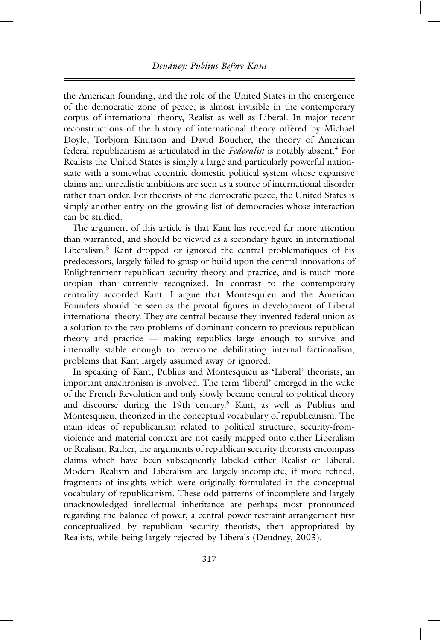the American founding, and the role of the United States in the emergence of the democratic zone of peace, is almost invisible in the contemporary corpus of international theory, Realist as well as Liberal. In major recent reconstructions of the history of international theory offered by Michael Doyle, Torbjorn Knutson and David Boucher, the theory of American federal republicanism as articulated in the *Federalist* is notably absent.<sup>4</sup> For Realists the United States is simply a large and particularly powerful nationstate with a somewhat eccentric domestic political system whose expansive claims and unrealistic ambitions are seen as a source of international disorder rather than order. For theorists of the democratic peace, the United States is simply another entry on the growing list of democracies whose interaction can be studied.

The argument of this article is that Kant has received far more attention than warranted, and should be viewed as a secondary figure in international Liberalism.<sup>5</sup> Kant dropped or ignored the central problematiques of his predecessors, largely failed to grasp or build upon the central innovations of Enlightenment republican security theory and practice, and is much more utopian than currently recognized. In contrast to the contemporary centrality accorded Kant, I argue that Montesquieu and the American Founders should be seen as the pivotal figures in development of Liberal international theory. They are central because they invented federal union as a solution to the two problems of dominant concern to previous republican theory and practice — making republics large enough to survive and internally stable enough to overcome debilitating internal factionalism, problems that Kant largely assumed away or ignored.

In speaking of Kant, Publius and Montesquieu as 'Liberal' theorists, an important anachronism is involved. The term 'liberal' emerged in the wake of the French Revolution and only slowly became central to political theory and discourse during the 19th century. <sup>6</sup> Kant, as well as Publius and Montesquieu, theorized in the conceptual vocabulary of republicanism. The main ideas of republicanism related to political structure, security-fromviolence and material context are not easily mapped onto either Liberalism or Realism. Rather, the arguments of republican security theorists encompass claims which have been subsequently labeled either Realist or Liberal. Modern Realism and Liberalism are largely incomplete, if more refined, fragments of insights which were originally formulated in the conceptual vocabulary of republicanism. These odd patterns of incomplete and largely unacknowledged intellectual inheritance are perhaps most pronounced regarding the balance of power, a central power restraint arrangement first conceptualized by republican security theorists, then appropriated by Realists, while being largely rejected by Liberals (Deudney, 2003).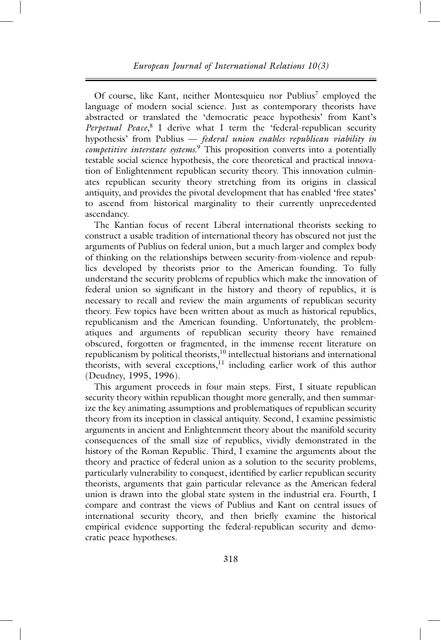Of course, like Kant, neither Montesquieu nor Publius<sup>7</sup> employed the language of modern social science. Just as contemporary theorists have abstracted or translated the 'democratic peace hypothesis' from Kant's *Perpetual Peace*, <sup>8</sup> I derive what I term the 'federal-republican security hypothesis' from Publius — *federal union enables republican viability in competitive interstate systems*. <sup>9</sup> This proposition converts into a potentially testable social science hypothesis, the core theoretical and practical innovation of Enlightenment republican security theory. This innovation culminates republican security theory stretching from its origins in classical antiquity, and provides the pivotal development that has enabled 'free states' to ascend from historical marginality to their currently unprecedented ascendancy.

The Kantian focus of recent Liberal international theorists seeking to construct a usable tradition of international theory has obscured not just the arguments of Publius on federal union, but a much larger and complex body of thinking on the relationships between security-from-violence and republics developed by theorists prior to the American founding. To fully understand the security problems of republics which make the innovation of federal union so significant in the history and theory of republics, it is necessary to recall and review the main arguments of republican security theory. Few topics have been written about as much as historical republics, republicanism and the American founding. Unfortunately, the problematiques and arguments of republican security theory have remained obscured, forgotten or fragmented, in the immense recent literature on republicanism by political theorists, $10$  intellectual historians and international theorists, with several exceptions,<sup>11</sup> including earlier work of this author (Deudney, 1995, 1996).

This argument proceeds in four main steps. First, I situate republican security theory within republican thought more generally, and then summarize the key animating assumptions and problematiques of republican security theory from its inception in classical antiquity. Second, I examine pessimistic arguments in ancient and Enlightenment theory about the manifold security consequences of the small size of republics, vividly demonstrated in the history of the Roman Republic. Third, I examine the arguments about the theory and practice of federal union as a solution to the security problems, particularly vulnerability to conquest, identified by earlier republican security theorists, arguments that gain particular relevance as the American federal union is drawn into the global state system in the industrial era. Fourth, I compare and contrast the views of Publius and Kant on central issues of international security theory, and then briefly examine the historical empirical evidence supporting the federal-republican security and democratic peace hypotheses.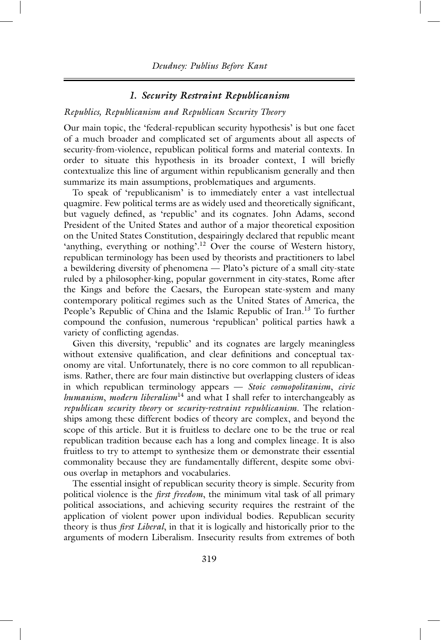## *1. Security Restraint Republicanism*

#### *Republics, Republicanism and Republican Security Theory*

Our main topic, the 'federal-republican security hypothesis' is but one facet of a much broader and complicated set of arguments about all aspects of security-from-violence, republican political forms and material contexts. In order to situate this hypothesis in its broader context, I will briefly contextualize this line of argument within republicanism generally and then summarize its main assumptions, problematiques and arguments.

To speak of 'republicanism' is to immediately enter a vast intellectual quagmire. Few political terms are as widely used and theoretically significant, but vaguely defined, as 'republic' and its cognates. John Adams, second President of the United States and author of a major theoretical exposition on the United States Constitution, despairingly declared that republic meant 'anything, everything or nothing'.<sup>12</sup> Over the course of Western history, republican terminology has been used by theorists and practitioners to label a bewildering diversity of phenomena — Plato's picture of a small city-state ruled by a philosopher-king, popular government in city-states, Rome after the Kings and before the Caesars, the European state-system and many contemporary political regimes such as the United States of America, the People's Republic of China and the Islamic Republic of Iran.<sup>13</sup> To further compound the confusion, numerous 'republican' political parties hawk a variety of conflicting agendas.

Given this diversity, 'republic' and its cognates are largely meaningless without extensive qualification, and clear definitions and conceptual taxonomy are vital. Unfortunately, there is no core common to all republicanisms. Rather, there are four main distinctive but overlapping clusters of ideas in which republican terminology appears — *Stoic cosmopolitanism*, *civic humanism*, *modern liberalism*<sup>14</sup> and what I shall refer to interchangeably as *republican security theory* or *security-restraint republicanism*. The relationships among these different bodies of theory are complex, and beyond the scope of this article. But it is fruitless to declare one to be the true or real republican tradition because each has a long and complex lineage. It is also fruitless to try to attempt to synthesize them or demonstrate their essential commonality because they are fundamentally different, despite some obvious overlap in metaphors and vocabularies.

The essential insight of republican security theory is simple. Security from political violence is the *first freedom*, the minimum vital task of all primary political associations, and achieving security requires the restraint of the application of violent power upon individual bodies. Republican security theory is thus *first Liberal*, in that it is logically and historically prior to the arguments of modern Liberalism. Insecurity results from extremes of both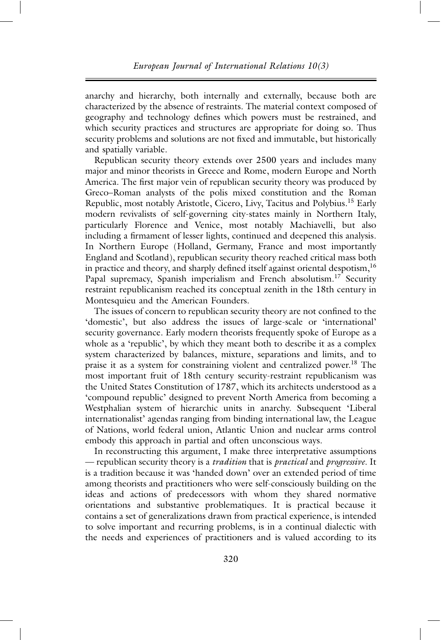anarchy and hierarchy, both internally and externally, because both are characterized by the absence of restraints. The material context composed of geography and technology defines which powers must be restrained, and which security practices and structures are appropriate for doing so. Thus security problems and solutions are not fixed and immutable, but historically and spatially variable.

Republican security theory extends over 2500 years and includes many major and minor theorists in Greece and Rome, modern Europe and North America. The first major vein of republican security theory was produced by Greco–Roman analysts of the polis mixed constitution and the Roman Republic, most notably Aristotle, Cicero, Livy, Tacitus and Polybius.<sup>15</sup> Early modern revivalists of self-governing city-states mainly in Northern Italy, particularly Florence and Venice, most notably Machiavelli, but also including a firmament of lesser lights, continued and deepened this analysis. In Northern Europe (Holland, Germany, France and most importantly England and Scotland), republican security theory reached critical mass both in practice and theory, and sharply defined itself against oriental despotism,<sup>16</sup> Papal supremacy, Spanish imperialism and French absolutism.<sup>17</sup> Security restraint republicanism reached its conceptual zenith in the 18th century in Montesquieu and the American Founders.

The issues of concern to republican security theory are not confined to the 'domestic', but also address the issues of large-scale or 'international' security governance. Early modern theorists frequently spoke of Europe as a whole as a 'republic', by which they meant both to describe it as a complex system characterized by balances, mixture, separations and limits, and to praise it as a system for constraining violent and centralized power.<sup>18</sup> The most important fruit of 18th century security-restraint republicanism was the United States Constitution of 1787, which its architects understood as a 'compound republic' designed to prevent North America from becoming a Westphalian system of hierarchic units in anarchy. Subsequent 'Liberal internationalist' agendas ranging from binding international law, the League of Nations, world federal union, Atlantic Union and nuclear arms control embody this approach in partial and often unconscious ways.

In reconstructing this argument, I make three interpretative assumptions — republican security theory is a *tradition* that is *practical* and *progressive*. It is a tradition because it was 'handed down' over an extended period of time among theorists and practitioners who were self-consciously building on the ideas and actions of predecessors with whom they shared normative orientations and substantive problematiques. It is practical because it contains a set of generalizations drawn from practical experience, is intended to solve important and recurring problems, is in a continual dialectic with the needs and experiences of practitioners and is valued according to its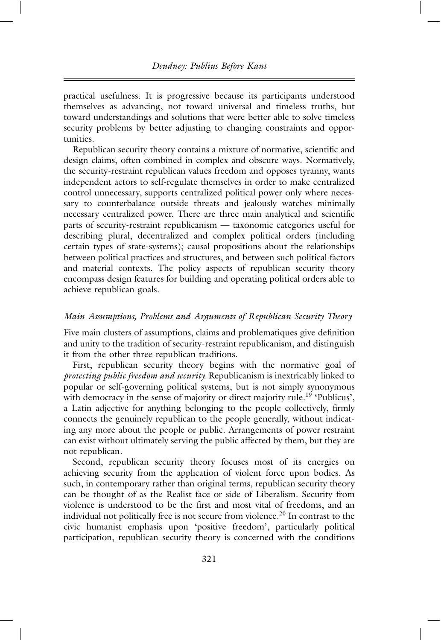practical usefulness. It is progressive because its participants understood themselves as advancing, not toward universal and timeless truths, but toward understandings and solutions that were better able to solve timeless security problems by better adjusting to changing constraints and opportunities.

Republican security theory contains a mixture of normative, scientific and design claims, often combined in complex and obscure ways. Normatively, the security-restraint republican values freedom and opposes tyranny, wants independent actors to self-regulate themselves in order to make centralized control unnecessary, supports centralized political power only where necessary to counterbalance outside threats and jealously watches minimally necessary centralized power. There are three main analytical and scientific parts of security-restraint republicanism — taxonomic categories useful for describing plural, decentralized and complex political orders (including certain types of state-systems); causal propositions about the relationships between political practices and structures, and between such political factors and material contexts. The policy aspects of republican security theory encompass design features for building and operating political orders able to achieve republican goals.

#### *Main Assumptions, Problems and Arguments of Republican Security Theory*

Five main clusters of assumptions, claims and problematiques give definition and unity to the tradition of security-restraint republicanism, and distinguish it from the other three republican traditions.

First, republican security theory begins with the normative goal of *protecting public freedom and security*. Republicanism is inextricably linked to popular or self-governing political systems, but is not simply synonymous with democracy in the sense of majority or direct majority rule.<sup>19</sup> 'Publicus', a Latin adjective for anything belonging to the people collectively, firmly connects the genuinely republican to the people generally, without indicating any more about the people or public. Arrangements of power restraint can exist without ultimately serving the public affected by them, but they are not republican.

Second, republican security theory focuses most of its energies on achieving security from the application of violent force upon bodies. As such, in contemporary rather than original terms, republican security theory can be thought of as the Realist face or side of Liberalism. Security from violence is understood to be the first and most vital of freedoms, and an individual not politically free is not secure from violence.<sup>20</sup> In contrast to the civic humanist emphasis upon 'positive freedom', particularly political participation, republican security theory is concerned with the conditions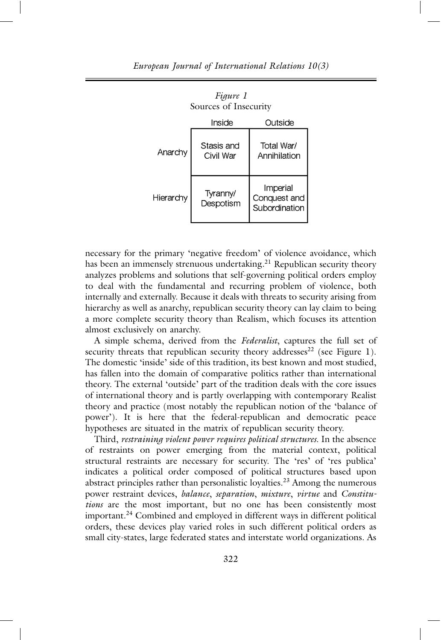*Figure 1*

| $\frac{1}{2}$ $\frac{1}{2}$ $\frac{1}{2}$ $\frac{1}{2}$ $\frac{1}{2}$ $\frac{1}{2}$ $\frac{1}{2}$ $\frac{1}{2}$<br>Sources of Insecurity |                         |                                           |  |  |
|------------------------------------------------------------------------------------------------------------------------------------------|-------------------------|-------------------------------------------|--|--|
|                                                                                                                                          | Inside                  | Outside                                   |  |  |
| Anarchy                                                                                                                                  | Stasis and<br>Civil War | Total War/<br>Annihilation                |  |  |
| Hierarchy                                                                                                                                | Tyranny/<br>Despotism   | Imperial<br>Conquest and<br>Subordination |  |  |

necessary for the primary 'negative freedom' of violence avoidance, which has been an immensely strenuous undertaking.<sup>21</sup> Republican security theory analyzes problems and solutions that self-governing political orders employ to deal with the fundamental and recurring problem of violence, both internally and externally. Because it deals with threats to security arising from hierarchy as well as anarchy, republican security theory can lay claim to being a more complete security theory than Realism, which focuses its attention almost exclusively on anarchy.

A simple schema, derived from the *Federalist*, captures the full set of security threats that republican security theory addresses<sup>22</sup> (see Figure 1). The domestic 'inside' side of this tradition, its best known and most studied, has fallen into the domain of comparative politics rather than international theory. The external 'outside' part of the tradition deals with the core issues of international theory and is partly overlapping with contemporary Realist theory and practice (most notably the republican notion of the 'balance of power'). It is here that the federal-republican and democratic peace hypotheses are situated in the matrix of republican security theory.

Third, *restraining violent power requires political structures*. In the absence of restraints on power emerging from the material context, political structural restraints are necessary for security. The 'res' of 'res publica' indicates a political order composed of political structures based upon abstract principles rather than personalistic loyalties.<sup>23</sup> Among the numerous power restraint devices, *balance*, *separation*, *mixture*, *virtue* and *Constitutions* are the most important, but no one has been consistently most important.<sup>24</sup> Combined and employed in different ways in different political orders, these devices play varied roles in such different political orders as small city-states, large federated states and interstate world organizations. As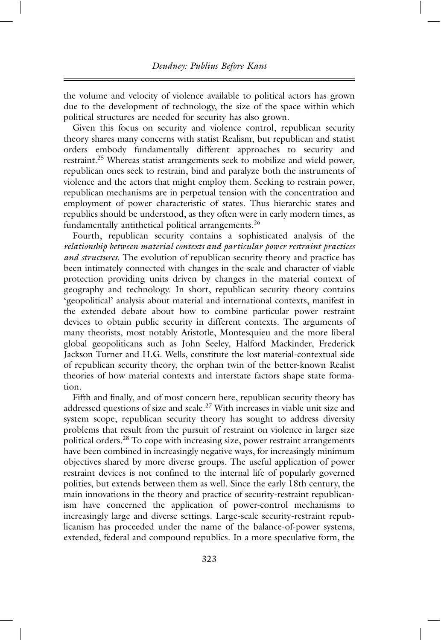the volume and velocity of violence available to political actors has grown due to the development of technology, the size of the space within which political structures are needed for security has also grown.

Given this focus on security and violence control, republican security theory shares many concerns with statist Realism, but republican and statist orders embody fundamentally different approaches to security and restraint.<sup>25</sup> Whereas statist arrangements seek to mobilize and wield power, republican ones seek to restrain, bind and paralyze both the instruments of violence and the actors that might employ them. Seeking to restrain power, republican mechanisms are in perpetual tension with the concentration and employment of power characteristic of states. Thus hierarchic states and republics should be understood, as they often were in early modern times, as fundamentally antithetical political arrangements.<sup>26</sup>

Fourth, republican security contains a sophisticated analysis of the *relationship between material contexts and particular power restraint practices and structures*. The evolution of republican security theory and practice has been intimately connected with changes in the scale and character of viable protection providing units driven by changes in the material context of geography and technology. In short, republican security theory contains 'geopolitical' analysis about material and international contexts, manifest in the extended debate about how to combine particular power restraint devices to obtain public security in different contexts. The arguments of many theorists, most notably Aristotle, Montesquieu and the more liberal global geopoliticans such as John Seeley, Halford Mackinder, Frederick Jackson Turner and H.G. Wells, constitute the lost material-contextual side of republican security theory, the orphan twin of the better-known Realist theories of how material contexts and interstate factors shape state formation.

Fifth and finally, and of most concern here, republican security theory has addressed questions of size and scale.<sup>27</sup> With increases in viable unit size and system scope, republican security theory has sought to address diversity problems that result from the pursuit of restraint on violence in larger size political orders.<sup>28</sup> To cope with increasing size, power restraint arrangements have been combined in increasingly negative ways, for increasingly minimum objectives shared by more diverse groups. The useful application of power restraint devices is not confined to the internal life of popularly governed polities, but extends between them as well. Since the early 18th century, the main innovations in the theory and practice of security-restraint republicanism have concerned the application of power-control mechanisms to increasingly large and diverse settings. Large-scale security-restraint republicanism has proceeded under the name of the balance-of-power systems, extended, federal and compound republics. In a more speculative form, the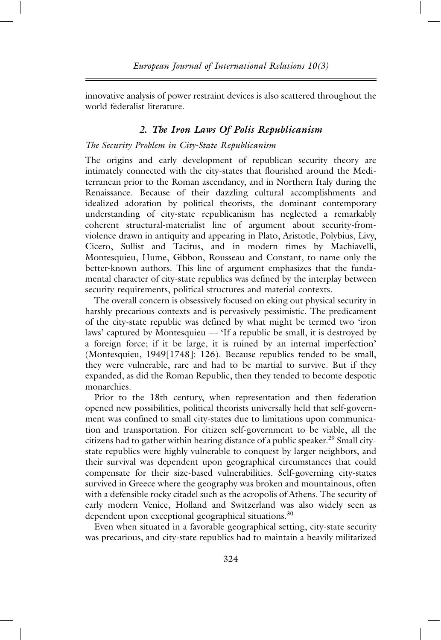innovative analysis of power restraint devices is also scattered throughout the world federalist literature.

## *2. The Iron Laws Of Polis Republicanism*

#### *The Security Problem in City-State Republicanism*

The origins and early development of republican security theory are intimately connected with the city-states that flourished around the Mediterranean prior to the Roman ascendancy, and in Northern Italy during the Renaissance. Because of their dazzling cultural accomplishments and idealized adoration by political theorists, the dominant contemporary understanding of city-state republicanism has neglected a remarkably coherent structural-materialist line of argument about security-fromviolence drawn in antiquity and appearing in Plato, Aristotle, Polybius, Livy, Cicero, Sullist and Tacitus, and in modern times by Machiavelli, Montesquieu, Hume, Gibbon, Rousseau and Constant, to name only the better-known authors. This line of argument emphasizes that the fundamental character of city-state republics was defined by the interplay between security requirements, political structures and material contexts.

The overall concern is obsessively focused on eking out physical security in harshly precarious contexts and is pervasively pessimistic. The predicament of the city-state republic was defined by what might be termed two 'iron laws' captured by Montesquieu — 'If a republic be small, it is destroyed by a foreign force; if it be large, it is ruined by an internal imperfection' (Montesquieu, 1949[1748]: 126). Because republics tended to be small, they were vulnerable, rare and had to be martial to survive. But if they expanded, as did the Roman Republic, then they tended to become despotic monarchies.

Prior to the 18th century, when representation and then federation opened new possibilities, political theorists universally held that self-government was confined to small city-states due to limitations upon communication and transportation. For citizen self-government to be viable, all the citizens had to gather within hearing distance of a public speaker. <sup>29</sup> Small citystate republics were highly vulnerable to conquest by larger neighbors, and their survival was dependent upon geographical circumstances that could compensate for their size-based vulnerabilities. Self-governing city-states survived in Greece where the geography was broken and mountainous, often with a defensible rocky citadel such as the acropolis of Athens. The security of early modern Venice, Holland and Switzerland was also widely seen as dependent upon exceptional geographical situations.<sup>30</sup>

Even when situated in a favorable geographical setting, city-state security was precarious, and city-state republics had to maintain a heavily militarized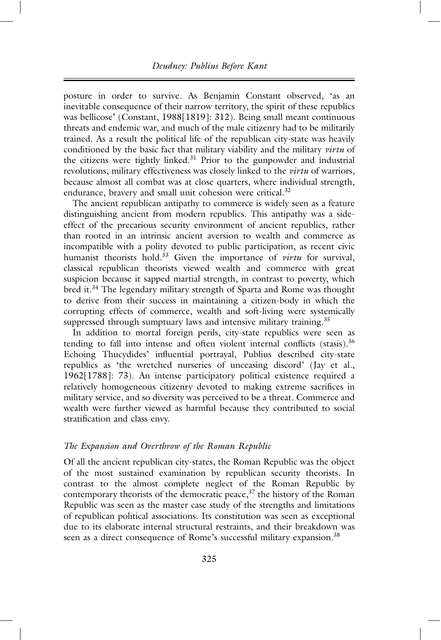posture in order to survive. As Benjamin Constant observed, 'as an inevitable consequence of their narrow territory, the spirit of these republics was bellicose' (Constant, 1988[1819]: 312). Being small meant continuous threats and endemic war, and much of the male citizenry had to be militarily trained. As a result the political life of the republican city-state was heavily conditioned by the basic fact that military viability and the military *virtu* of the citizens were tightly linked.31 Prior to the gunpowder and industrial revolutions, military effectiveness was closely linked to the *virtu* of warriors, because almost all combat was at close quarters, where individual strength, endurance, bravery and small unit cohesion were critical.<sup>32</sup>

The ancient republican antipathy to commerce is widely seen as a feature distinguishing ancient from modern republics. This antipathy was a sideeffect of the precarious security environment of ancient republics, rather than rooted in an intrinsic ancient aversion to wealth and commerce as incompatible with a polity devoted to public participation, as recent civic humanist theorists hold.<sup>33</sup> Given the importance of *virtu* for survival, classical republican theorists viewed wealth and commerce with great suspicion because it sapped martial strength, in contrast to poverty, which bred it.34 The legendary military strength of Sparta and Rome was thought to derive from their success in maintaining a citizen-body in which the corrupting effects of commerce, wealth and soft-living were systemically suppressed through sumptuary laws and intensive military training.<sup>35</sup>

In addition to mortal foreign perils, city-state republics were seen as tending to fall into intense and often violent internal conflicts (stasis).<sup>36</sup> Echoing Thucydides' influential portrayal, Publius described city-state republics as 'the wretched nurseries of unceasing discord' (Jay et al., 1962[1788]: 73). An intense participatory political existence required a relatively homogeneous citizenry devoted to making extreme sacrifices in military service, and so diversity was perceived to be a threat. Commerce and wealth were further viewed as harmful because they contributed to social stratification and class envy.

#### *The Expansion and Overthrow of the Roman Republic*

Of all the ancient republican city-states, the Roman Republic was the object of the most sustained examination by republican security theorists. In contrast to the almost complete neglect of the Roman Republic by contemporary theorists of the democratic peace, $3^7$  the history of the Roman Republic was seen as the master case study of the strengths and limitations of republican political associations. Its constitution was seen as exceptional due to its elaborate internal structural restraints, and their breakdown was seen as a direct consequence of Rome's successful military expansion.<sup>38</sup>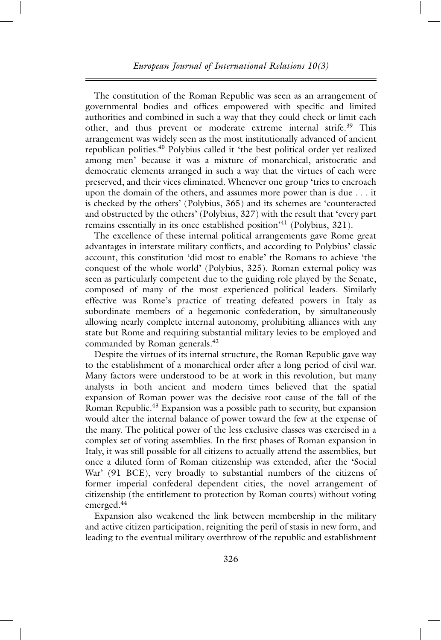The constitution of the Roman Republic was seen as an arrangement of governmental bodies and offices empowered with specific and limited authorities and combined in such a way that they could check or limit each other, and thus prevent or moderate extreme internal strife.39 This arrangement was widely seen as the most institutionally advanced of ancient republican polities.<sup>40</sup> Polybius called it 'the best political order yet realized among men' because it was a mixture of monarchical, aristocratic and democratic elements arranged in such a way that the virtues of each were preserved, and their vices eliminated. Whenever one group 'tries to encroach upon the domain of the others, and assumes more power than is due . . . it is checked by the others' (Polybius, 365) and its schemes are 'counteracted and obstructed by the others' (Polybius, 327) with the result that 'every part remains essentially in its once established position<sup>'41</sup> (Polybius, 321).

The excellence of these internal political arrangements gave Rome great advantages in interstate military conflicts, and according to Polybius' classic account, this constitution 'did most to enable' the Romans to achieve 'the conquest of the whole world' (Polybius, 325). Roman external policy was seen as particularly competent due to the guiding role played by the Senate, composed of many of the most experienced political leaders. Similarly effective was Rome's practice of treating defeated powers in Italy as subordinate members of a hegemonic confederation, by simultaneously allowing nearly complete internal autonomy, prohibiting alliances with any state but Rome and requiring substantial military levies to be employed and commanded by Roman generals.<sup>42</sup>

Despite the virtues of its internal structure, the Roman Republic gave way to the establishment of a monarchical order after a long period of civil war. Many factors were understood to be at work in this revolution, but many analysts in both ancient and modern times believed that the spatial expansion of Roman power was the decisive root cause of the fall of the Roman Republic.<sup>43</sup> Expansion was a possible path to security, but expansion would alter the internal balance of power toward the few at the expense of the many. The political power of the less exclusive classes was exercised in a complex set of voting assemblies. In the first phases of Roman expansion in Italy, it was still possible for all citizens to actually attend the assemblies, but once a diluted form of Roman citizenship was extended, after the 'Social War' (91 BCE), very broadly to substantial numbers of the citizens of former imperial confederal dependent cities, the novel arrangement of citizenship (the entitlement to protection by Roman courts) without voting emerged.44

Expansion also weakened the link between membership in the military and active citizen participation, reigniting the peril of stasis in new form, and leading to the eventual military overthrow of the republic and establishment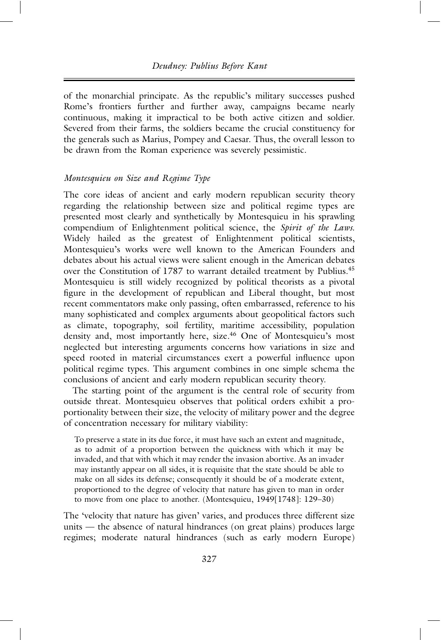of the monarchial principate. As the republic's military successes pushed Rome's frontiers further and further away, campaigns became nearly continuous, making it impractical to be both active citizen and soldier. Severed from their farms, the soldiers became the crucial constituency for the generals such as Marius, Pompey and Caesar. Thus, the overall lesson to be drawn from the Roman experience was severely pessimistic.

## *Montesquieu on Size and Regime Type*

The core ideas of ancient and early modern republican security theory regarding the relationship between size and political regime types are presented most clearly and synthetically by Montesquieu in his sprawling compendium of Enlightenment political science, the *Spirit of the Laws*. Widely hailed as the greatest of Enlightenment political scientists, Montesquieu's works were well known to the American Founders and debates about his actual views were salient enough in the American debates over the Constitution of 1787 to warrant detailed treatment by Publius.<sup>45</sup> Montesquieu is still widely recognized by political theorists as a pivotal figure in the development of republican and Liberal thought, but most recent commentators make only passing, often embarrassed, reference to his many sophisticated and complex arguments about geopolitical factors such as climate, topography, soil fertility, maritime accessibility, population density and, most importantly here, size.<sup>46</sup> One of Montesquieu's most neglected but interesting arguments concerns how variations in size and speed rooted in material circumstances exert a powerful influence upon political regime types. This argument combines in one simple schema the conclusions of ancient and early modern republican security theory.

The starting point of the argument is the central role of security from outside threat. Montesquieu observes that political orders exhibit a proportionality between their size, the velocity of military power and the degree of concentration necessary for military viability:

To preserve a state in its due force, it must have such an extent and magnitude, as to admit of a proportion between the quickness with which it may be invaded, and that with which it may render the invasion abortive. As an invader may instantly appear on all sides, it is requisite that the state should be able to make on all sides its defense; consequently it should be of a moderate extent, proportioned to the degree of velocity that nature has given to man in order to move from one place to another. (Montesquieu, 1949[1748]: 129–30)

The 'velocity that nature has given' varies, and produces three different size units — the absence of natural hindrances (on great plains) produces large regimes; moderate natural hindrances (such as early modern Europe)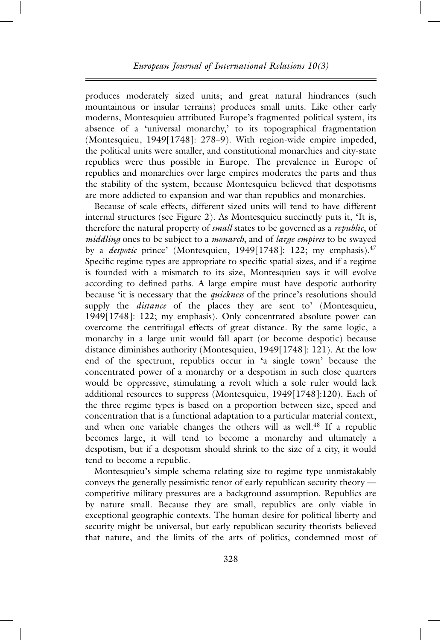produces moderately sized units; and great natural hindrances (such mountainous or insular terrains) produces small units. Like other early moderns, Montesquieu attributed Europe's fragmented political system, its absence of a 'universal monarchy,' to its topographical fragmentation (Montesquieu, 1949[1748]: 278–9). With region-wide empire impeded, the political units were smaller, and constitutional monarchies and city-state republics were thus possible in Europe. The prevalence in Europe of republics and monarchies over large empires moderates the parts and thus the stability of the system, because Montesquieu believed that despotisms are more addicted to expansion and war than republics and monarchies.

Because of scale effects, different sized units will tend to have different internal structures (see Figure 2). As Montesquieu succinctly puts it, 'It is, therefore the natural property of *small* states to be governed as a *republic*, of *middling* ones to be subject to a *monarch*, and of *large empires* to be swayed by a *despotic* prince' (Montesquieu, 1949[1748]: 122; my emphasis).<sup>47</sup> Specific regime types are appropriate to specific spatial sizes, and if a regime is founded with a mismatch to its size, Montesquieu says it will evolve according to defined paths. A large empire must have despotic authority because 'it is necessary that the *quickness* of the prince's resolutions should supply the *distance* of the places they are sent to' (Montesquieu, 1949[1748]: 122; my emphasis). Only concentrated absolute power can overcome the centrifugal effects of great distance. By the same logic, a monarchy in a large unit would fall apart (or become despotic) because distance diminishes authority (Montesquieu, 1949[1748]: 121). At the low end of the spectrum, republics occur in 'a single town' because the concentrated power of a monarchy or a despotism in such close quarters would be oppressive, stimulating a revolt which a sole ruler would lack additional resources to suppress (Montesquieu, 1949[1748]:120). Each of the three regime types is based on a proportion between size, speed and concentration that is a functional adaptation to a particular material context, and when one variable changes the others will as well.<sup>48</sup> If a republic becomes large, it will tend to become a monarchy and ultimately a despotism, but if a despotism should shrink to the size of a city, it would tend to become a republic.

Montesquieu's simple schema relating size to regime type unmistakably conveys the generally pessimistic tenor of early republican security theory competitive military pressures are a background assumption. Republics are by nature small. Because they are small, republics are only viable in exceptional geographic contexts. The human desire for political liberty and security might be universal, but early republican security theorists believed that nature, and the limits of the arts of politics, condemned most of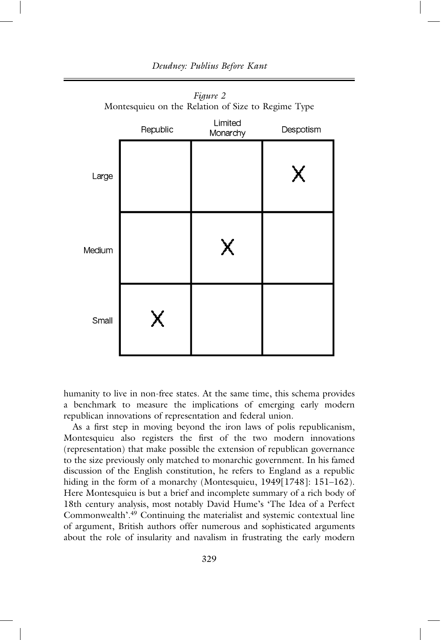

*Figure 2* Montesquieu on the Relation of Size to Regime Type

humanity to live in non-free states. At the same time, this schema provides a benchmark to measure the implications of emerging early modern republican innovations of representation and federal union.

As a first step in moving beyond the iron laws of polis republicanism, Montesquieu also registers the first of the two modern innovations (representation) that make possible the extension of republican governance to the size previously only matched to monarchic government. In his famed discussion of the English constitution, he refers to England as a republic hiding in the form of a monarchy (Montesquieu, 1949[1748]: 151-162). Here Montesquieu is but a brief and incomplete summary of a rich body of 18th century analysis, most notably David Hume's 'The Idea of a Perfect Commonwealth'.<sup>49</sup> Continuing the materialist and systemic contextual line of argument, British authors offer numerous and sophisticated arguments about the role of insularity and navalism in frustrating the early modern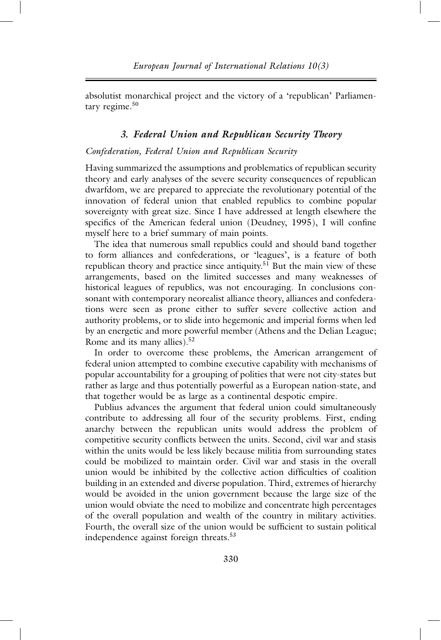absolutist monarchical project and the victory of a 'republican' Parliamentary regime.<sup>50</sup>

#### *3. Federal Union and Republican Security Theory*

#### *Confederation, Federal Union and Republican Security*

Having summarized the assumptions and problematics of republican security theory and early analyses of the severe security consequences of republican dwarfdom, we are prepared to appreciate the revolutionary potential of the innovation of federal union that enabled republics to combine popular sovereignty with great size. Since I have addressed at length elsewhere the specifics of the American federal union (Deudney, 1995), I will confine myself here to a brief summary of main points.

The idea that numerous small republics could and should band together to form alliances and confederations, or 'leagues', is a feature of both republican theory and practice since antiquity.<sup>51</sup> But the main view of these arrangements, based on the limited successes and many weaknesses of historical leagues of republics, was not encouraging. In conclusions consonant with contemporary neorealist alliance theory, alliances and confederations were seen as prone either to suffer severe collective action and authority problems, or to slide into hegemonic and imperial forms when led by an energetic and more powerful member (Athens and the Delian League; Rome and its many allies).52

In order to overcome these problems, the American arrangement of federal union attempted to combine executive capability with mechanisms of popular accountability for a grouping of polities that were not city-states but rather as large and thus potentially powerful as a European nation-state, and that together would be as large as a continental despotic empire.

Publius advances the argument that federal union could simultaneously contribute to addressing all four of the security problems. First, ending anarchy between the republican units would address the problem of competitive security conflicts between the units. Second, civil war and stasis within the units would be less likely because militia from surrounding states could be mobilized to maintain order. Civil war and stasis in the overall union would be inhibited by the collective action difficulties of coalition building in an extended and diverse population. Third, extremes of hierarchy would be avoided in the union government because the large size of the union would obviate the need to mobilize and concentrate high percentages of the overall population and wealth of the country in military activities. Fourth, the overall size of the union would be sufficient to sustain political independence against foreign threats.<sup>53</sup>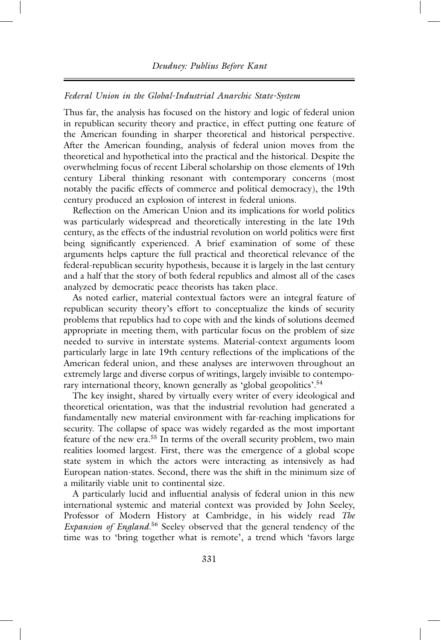#### *Federal Union in the Global-Industrial Anarchic State-System*

Thus far, the analysis has focused on the history and logic of federal union in republican security theory and practice, in effect putting one feature of the American founding in sharper theoretical and historical perspective. After the American founding, analysis of federal union moves from the theoretical and hypothetical into the practical and the historical. Despite the overwhelming focus of recent Liberal scholarship on those elements of 19th century Liberal thinking resonant with contemporary concerns (most notably the pacific effects of commerce and political democracy), the 19th century produced an explosion of interest in federal unions.

Reflection on the American Union and its implications for world politics was particularly widespread and theoretically interesting in the late 19th century, as the effects of the industrial revolution on world politics were first being significantly experienced. A brief examination of some of these arguments helps capture the full practical and theoretical relevance of the federal-republican security hypothesis, because it is largely in the last century and a half that the story of both federal republics and almost all of the cases analyzed by democratic peace theorists has taken place.

As noted earlier, material contextual factors were an integral feature of republican security theory's effort to conceptualize the kinds of security problems that republics had to cope with and the kinds of solutions deemed appropriate in meeting them, with particular focus on the problem of size needed to survive in interstate systems. Material-context arguments loom particularly large in late 19th century reflections of the implications of the American federal union, and these analyses are interwoven throughout an extremely large and diverse corpus of writings, largely invisible to contemporary international theory, known generally as 'global geopolitics'.<sup>54</sup>

The key insight, shared by virtually every writer of every ideological and theoretical orientation, was that the industrial revolution had generated a fundamentally new material environment with far-reaching implications for security. The collapse of space was widely regarded as the most important feature of the new era.55 In terms of the overall security problem, two main realities loomed largest. First, there was the emergence of a global scope state system in which the actors were interacting as intensively as had European nation-states. Second, there was the shift in the minimum size of a militarily viable unit to continental size.

A particularly lucid and influential analysis of federal union in this new international systemic and material context was provided by John Seeley, Professor of Modern History at Cambridge, in his widely read *The Expansion of England*. <sup>56</sup> Seeley observed that the general tendency of the time was to 'bring together what is remote', a trend which 'favors large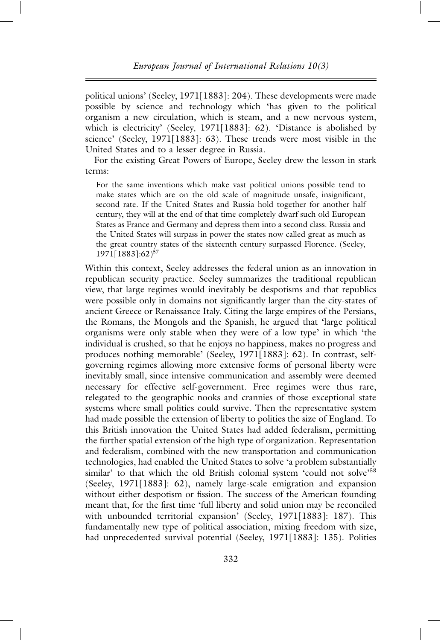political unions' (Seeley, 1971[1883]: 204). These developments were made possible by science and technology which 'has given to the political organism a new circulation, which is steam, and a new nervous system, which is electricity' (Seeley, 1971[1883]: 62). 'Distance is abolished by science' (Seeley, 1971[1883]: 63). These trends were most visible in the United States and to a lesser degree in Russia.

For the existing Great Powers of Europe, Seeley drew the lesson in stark terms:

For the same inventions which make vast political unions possible tend to make states which are on the old scale of magnitude unsafe, insignificant, second rate. If the United States and Russia hold together for another half century, they will at the end of that time completely dwarf such old European States as France and Germany and depress them into a second class. Russia and the United States will surpass in power the states now called great as much as the great country states of the sixteenth century surpassed Florence. (Seeley, 1971[1883]:62)57

Within this context, Seeley addresses the federal union as an innovation in republican security practice. Seeley summarizes the traditional republican view, that large regimes would inevitably be despotisms and that republics were possible only in domains not significantly larger than the city-states of ancient Greece or Renaissance Italy. Citing the large empires of the Persians, the Romans, the Mongols and the Spanish, he argued that 'large political organisms were only stable when they were of a low type' in which 'the individual is crushed, so that he enjoys no happiness, makes no progress and produces nothing memorable' (Seeley, 1971[1883]: 62). In contrast, selfgoverning regimes allowing more extensive forms of personal liberty were inevitably small, since intensive communication and assembly were deemed necessary for effective self-government. Free regimes were thus rare, relegated to the geographic nooks and crannies of those exceptional state systems where small polities could survive. Then the representative system had made possible the extension of liberty to polities the size of England. To this British innovation the United States had added federalism, permitting the further spatial extension of the high type of organization. Representation and federalism, combined with the new transportation and communication technologies, had enabled the United States to solve 'a problem substantially similar' to that which the old British colonial system 'could not solve'<sup>58</sup> (Seeley, 1971[1883]: 62), namely large-scale emigration and expansion without either despotism or fission. The success of the American founding meant that, for the first time 'full liberty and solid union may be reconciled with unbounded territorial expansion' (Seeley, 1971[1883]: 187). This fundamentally new type of political association, mixing freedom with size, had unprecedented survival potential (Seeley, 1971[1883]: 135). Polities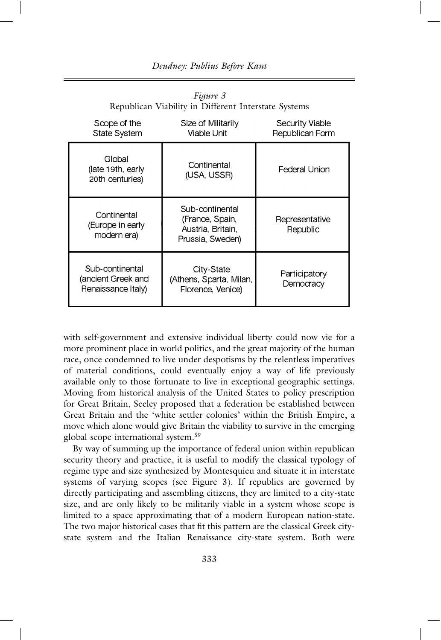| Republican Viability in Different Interstate Systems        |                                                                             |                                    |  |  |
|-------------------------------------------------------------|-----------------------------------------------------------------------------|------------------------------------|--|--|
| Scope of the<br><b>State System</b>                         | Size of Militarily<br>Viable Unit                                           | Security Viable<br>Republican Form |  |  |
| Global<br>(late 19th, early<br>20th centuries)              | Continental<br>(USA, USSR)                                                  | Federal Union                      |  |  |
| Continental<br>(Europe in early<br>modern era)              | Sub-continental<br>(France, Spain,<br>Austria, Britain.<br>Prussia, Sweden) | Representative<br>Republic         |  |  |
| Sub-continental<br>(ancient Greek and<br>Renaissance Italy) | City-State<br>(Athens, Sparta, Milan,<br>Florence, Venice)                  | Participatory<br>Democracy         |  |  |

*Figure 3* Republican Viability in Different Interstate Systems

with self-government and extensive individual liberty could now vie for a more prominent place in world politics, and the great majority of the human race, once condemned to live under despotisms by the relentless imperatives of material conditions, could eventually enjoy a way of life previously available only to those fortunate to live in exceptional geographic settings. Moving from historical analysis of the United States to policy prescription for Great Britain, Seeley proposed that a federation be established between Great Britain and the 'white settler colonies' within the British Empire, a move which alone would give Britain the viability to survive in the emerging global scope international system.<sup>59</sup>

By way of summing up the importance of federal union within republican security theory and practice, it is useful to modify the classical typology of regime type and size synthesized by Montesquieu and situate it in interstate systems of varying scopes (see Figure 3). If republics are governed by directly participating and assembling citizens, they are limited to a city-state size, and are only likely to be militarily viable in a system whose scope is limited to a space approximating that of a modern European nation-state. The two major historical cases that fit this pattern are the classical Greek citystate system and the Italian Renaissance city-state system. Both were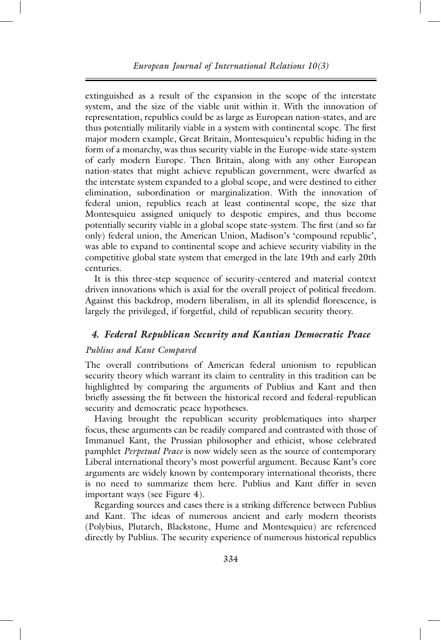extinguished as a result of the expansion in the scope of the interstate system, and the size of the viable unit within it. With the innovation of representation, republics could be as large as European nation-states, and are thus potentially militarily viable in a system with continental scope. The first major modern example, Great Britain, Montesquieu's republic hiding in the form of a monarchy, was thus security viable in the Europe-wide state-system of early modern Europe. Then Britain, along with any other European nation-states that might achieve republican government, were dwarfed as the interstate system expanded to a global scope, and were destined to either elimination, subordination or marginalization. With the innovation of federal union, republics reach at least continental scope, the size that Montesquieu assigned uniquely to despotic empires, and thus become potentially security viable in a global scope state-system. The first (and so far only) federal union, the American Union, Madison's 'compound republic', was able to expand to continental scope and achieve security viability in the competitive global state system that emerged in the late 19th and early 20th centuries.

It is this three-step sequence of security-centered and material context driven innovations which is axial for the overall project of political freedom. Against this backdrop, modern liberalism, in all its splendid florescence, is largely the privileged, if forgetful, child of republican security theory.

## *4. Federal Republican Security and Kantian Democratic Peace*

#### *Publius and Kant Compared*

The overall contributions of American federal unionism to republican security theory which warrant its claim to centrality in this tradition can be highlighted by comparing the arguments of Publius and Kant and then briefly assessing the fit between the historical record and federal-republican security and democratic peace hypotheses.

Having brought the republican security problematiques into sharper focus, these arguments can be readily compared and contrasted with those of Immanuel Kant, the Prussian philosopher and ethicist, whose celebrated pamphlet *Perpetual Peace* is now widely seen as the source of contemporary Liberal international theory's most powerful argument. Because Kant's core arguments are widely known by contemporary international theorists, there is no need to summarize them here. Publius and Kant differ in seven important ways (see Figure 4).

Regarding sources and cases there is a striking difference between Publius and Kant. The ideas of numerous ancient and early modern theorists (Polybius, Plutarch, Blackstone, Hume and Montesquieu) are referenced directly by Publius. The security experience of numerous historical republics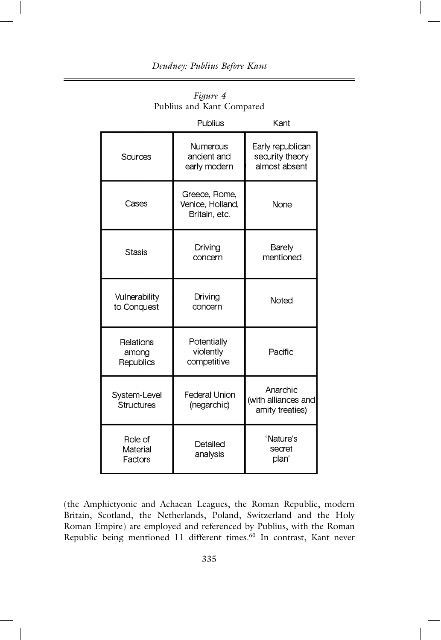|                                 | Publius                                            | Kant                                                 |
|---------------------------------|----------------------------------------------------|------------------------------------------------------|
| Sources                         | Numerous<br>ancient and<br>early modern            | Early republican<br>security theory<br>almost absent |
| Cases                           | Greece, Rome,<br>Venice, Holland,<br>Britain, etc. | None                                                 |
| Stasis                          | Driving<br>concern                                 | Barely<br>mentioned                                  |
| Vulnerability<br>to Conquest    | Driving<br>concern                                 | Noted                                                |
| Relations<br>among<br>Republics | Potentially<br>violently<br>competitive            | Pacific                                              |
| System-Level<br>Structures      | Federal Union<br>(negarchic)                       | Anarchic<br>(with alliances and<br>amity treaties)   |
| Role of<br>Material<br>Factors  | Detailed<br>analysis                               | 'Nature's<br>secret<br>plan'                         |

*Figure 4* Publius and Kant Compared

(the Amphictyonic and Achaean Leagues, the Roman Republic, modern Britain, Scotland, the Netherlands, Poland, Switzerland and the Holy Roman Empire) are employed and referenced by Publius, with the Roman Republic being mentioned 11 different times.<sup>60</sup> In contrast, Kant never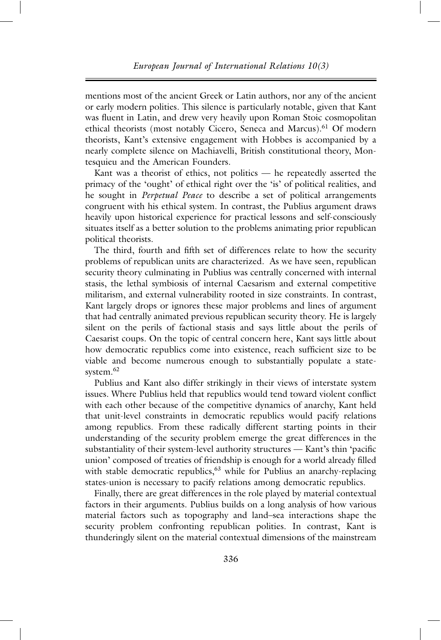mentions most of the ancient Greek or Latin authors, nor any of the ancient or early modern polities. This silence is particularly notable, given that Kant was fluent in Latin, and drew very heavily upon Roman Stoic cosmopolitan ethical theorists (most notably Cicero, Seneca and Marcus).<sup>61</sup> Of modern theorists, Kant's extensive engagement with Hobbes is accompanied by a nearly complete silence on Machiavelli, British constitutional theory, Montesquieu and the American Founders.

Kant was a theorist of ethics, not politics — he repeatedly asserted the primacy of the 'ought' of ethical right over the 'is' of political realities, and he sought in *Perpetual Peace* to describe a set of political arrangements congruent with his ethical system. In contrast, the Publius argument draws heavily upon historical experience for practical lessons and self-consciously situates itself as a better solution to the problems animating prior republican political theorists.

The third, fourth and fifth set of differences relate to how the security problems of republican units are characterized. As we have seen, republican security theory culminating in Publius was centrally concerned with internal stasis, the lethal symbiosis of internal Caesarism and external competitive militarism, and external vulnerability rooted in size constraints. In contrast, Kant largely drops or ignores these major problems and lines of argument that had centrally animated previous republican security theory. He is largely silent on the perils of factional stasis and says little about the perils of Caesarist coups. On the topic of central concern here, Kant says little about how democratic republics come into existence, reach sufficient size to be viable and become numerous enough to substantially populate a statesystem.<sup>62</sup>

Publius and Kant also differ strikingly in their views of interstate system issues. Where Publius held that republics would tend toward violent conflict with each other because of the competitive dynamics of anarchy, Kant held that unit-level constraints in democratic republics would pacify relations among republics. From these radically different starting points in their understanding of the security problem emerge the great differences in the substantiality of their system-level authority structures — Kant's thin 'pacific union' composed of treaties of friendship is enough for a world already filled with stable democratic republics,<sup>63</sup> while for Publius an anarchy-replacing states-union is necessary to pacify relations among democratic republics.

Finally, there are great differences in the role played by material contextual factors in their arguments. Publius builds on a long analysis of how various material factors such as topography and land–sea interactions shape the security problem confronting republican polities. In contrast, Kant is thunderingly silent on the material contextual dimensions of the mainstream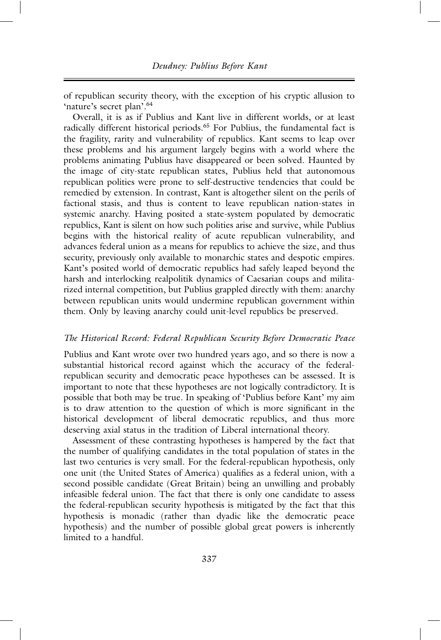of republican security theory, with the exception of his cryptic allusion to 'nature's secret plan'.<sup>64</sup>

Overall, it is as if Publius and Kant live in different worlds, or at least radically different historical periods.<sup>65</sup> For Publius, the fundamental fact is the fragility, rarity and vulnerability of republics. Kant seems to leap over these problems and his argument largely begins with a world where the problems animating Publius have disappeared or been solved. Haunted by the image of city-state republican states, Publius held that autonomous republican polities were prone to self-destructive tendencies that could be remedied by extension. In contrast, Kant is altogether silent on the perils of factional stasis, and thus is content to leave republican nation-states in systemic anarchy. Having posited a state-system populated by democratic republics, Kant is silent on how such polities arise and survive, while Publius begins with the historical reality of acute republican vulnerability, and advances federal union as a means for republics to achieve the size, and thus security, previously only available to monarchic states and despotic empires. Kant's posited world of democratic republics had safely leaped beyond the harsh and interlocking realpolitik dynamics of Caesarian coups and militarized internal competition, but Publius grappled directly with them: anarchy between republican units would undermine republican government within them. Only by leaving anarchy could unit-level republics be preserved.

#### *The Historical Record: Federal Republican Security Before Democratic Peace*

Publius and Kant wrote over two hundred years ago, and so there is now a substantial historical record against which the accuracy of the federalrepublican security and democratic peace hypotheses can be assessed. It is important to note that these hypotheses are not logically contradictory. It is possible that both may be true. In speaking of 'Publius before Kant' my aim is to draw attention to the question of which is more significant in the historical development of liberal democratic republics, and thus more deserving axial status in the tradition of Liberal international theory.

Assessment of these contrasting hypotheses is hampered by the fact that the number of qualifying candidates in the total population of states in the last two centuries is very small. For the federal-republican hypothesis, only one unit (the United States of America) qualifies as a federal union, with a second possible candidate (Great Britain) being an unwilling and probably infeasible federal union. The fact that there is only one candidate to assess the federal-republican security hypothesis is mitigated by the fact that this hypothesis is monadic (rather than dyadic like the democratic peace hypothesis) and the number of possible global great powers is inherently limited to a handful.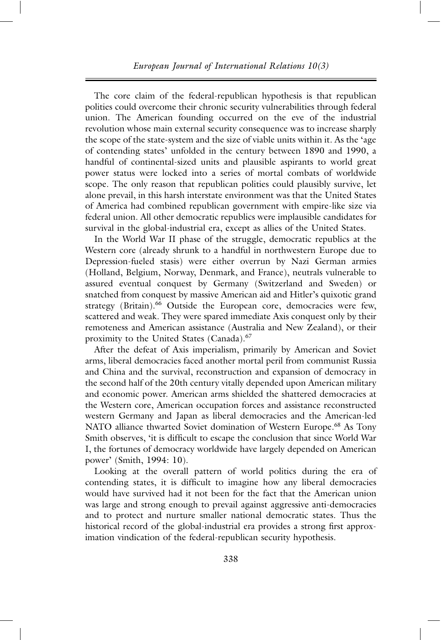The core claim of the federal-republican hypothesis is that republican polities could overcome their chronic security vulnerabilities through federal union. The American founding occurred on the eve of the industrial revolution whose main external security consequence was to increase sharply the scope of the state-system and the size of viable units within it. As the 'age of contending states' unfolded in the century between 1890 and 1990, a handful of continental-sized units and plausible aspirants to world great power status were locked into a series of mortal combats of worldwide scope. The only reason that republican polities could plausibly survive, let alone prevail, in this harsh interstate environment was that the United States of America had combined republican government with empire-like size via federal union. All other democratic republics were implausible candidates for survival in the global-industrial era, except as allies of the United States.

In the World War II phase of the struggle, democratic republics at the Western core (already shrunk to a handful in northwestern Europe due to Depression-fueled stasis) were either overrun by Nazi German armies (Holland, Belgium, Norway, Denmark, and France), neutrals vulnerable to assured eventual conquest by Germany (Switzerland and Sweden) or snatched from conquest by massive American aid and Hitler's quixotic grand strategy (Britain).<sup>66</sup> Outside the European core, democracies were few, scattered and weak. They were spared immediate Axis conquest only by their remoteness and American assistance (Australia and New Zealand), or their proximity to the United States (Canada).67

After the defeat of Axis imperialism, primarily by American and Soviet arms, liberal democracies faced another mortal peril from communist Russia and China and the survival, reconstruction and expansion of democracy in the second half of the 20th century vitally depended upon American military and economic power. American arms shielded the shattered democracies at the Western core, American occupation forces and assistance reconstructed western Germany and Japan as liberal democracies and the American-led NATO alliance thwarted Soviet domination of Western Europe.<sup>68</sup> As Tony Smith observes, 'it is difficult to escape the conclusion that since World War I, the fortunes of democracy worldwide have largely depended on American power' (Smith, 1994: 10).

Looking at the overall pattern of world politics during the era of contending states, it is difficult to imagine how any liberal democracies would have survived had it not been for the fact that the American union was large and strong enough to prevail against aggressive anti-democracies and to protect and nurture smaller national democratic states. Thus the historical record of the global-industrial era provides a strong first approximation vindication of the federal-republican security hypothesis.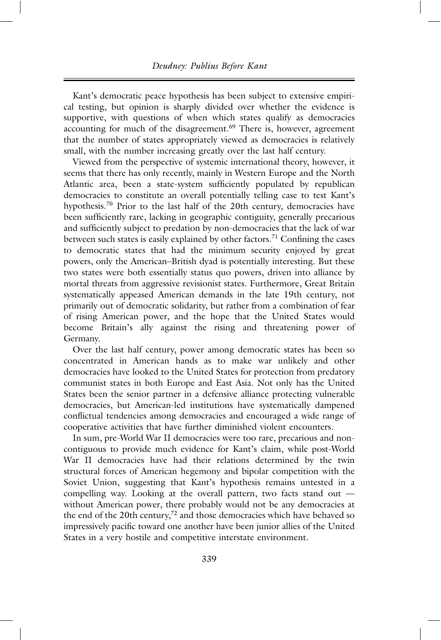Kant's democratic peace hypothesis has been subject to extensive empirical testing, but opinion is sharply divided over whether the evidence is supportive, with questions of when which states qualify as democracies accounting for much of the disagreement.<sup>69</sup> There is, however, agreement that the number of states appropriately viewed as democracies is relatively small, with the number increasing greatly over the last half century.

Viewed from the perspective of systemic international theory, however, it seems that there has only recently, mainly in Western Europe and the North Atlantic area, been a state-system sufficiently populated by republican democracies to constitute an overall potentially telling case to test Kant's hypothesis.<sup>70</sup> Prior to the last half of the 20th century, democracies have been sufficiently rare, lacking in geographic contiguity, generally precarious and sufficiently subject to predation by non-democracies that the lack of war between such states is easily explained by other factors.<sup>71</sup> Confining the cases to democratic states that had the minimum security enjoyed by great powers, only the American–British dyad is potentially interesting. But these two states were both essentially status quo powers, driven into alliance by mortal threats from aggressive revisionist states. Furthermore, Great Britain systematically appeased American demands in the late 19th century, not primarily out of democratic solidarity, but rather from a combination of fear of rising American power, and the hope that the United States would become Britain's ally against the rising and threatening power of Germany.

Over the last half century, power among democratic states has been so concentrated in American hands as to make war unlikely and other democracies have looked to the United States for protection from predatory communist states in both Europe and East Asia. Not only has the United States been the senior partner in a defensive alliance protecting vulnerable democracies, but American-led institutions have systematically dampened conflictual tendencies among democracies and encouraged a wide range of cooperative activities that have further diminished violent encounters.

In sum, pre-World War II democracies were too rare, precarious and noncontiguous to provide much evidence for Kant's claim, while post-World War II democracies have had their relations determined by the twin structural forces of American hegemony and bipolar competition with the Soviet Union, suggesting that Kant's hypothesis remains untested in a compelling way. Looking at the overall pattern, two facts stand out without American power, there probably would not be any democracies at the end of the 20th century,<sup>72</sup> and those democracies which have behaved so impressively pacific toward one another have been junior allies of the United States in a very hostile and competitive interstate environment.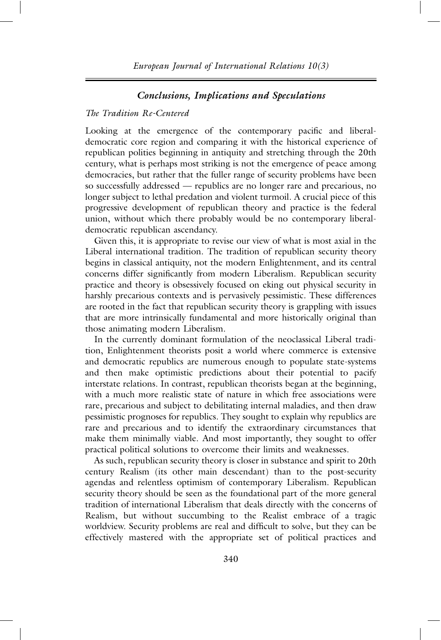## *Conclusions, Implications and Speculations*

# *The Tradition Re-Centered*

Looking at the emergence of the contemporary pacific and liberaldemocratic core region and comparing it with the historical experience of republican polities beginning in antiquity and stretching through the 20th century, what is perhaps most striking is not the emergence of peace among democracies, but rather that the fuller range of security problems have been so successfully addressed — republics are no longer rare and precarious, no longer subject to lethal predation and violent turmoil. A crucial piece of this progressive development of republican theory and practice is the federal union, without which there probably would be no contemporary liberaldemocratic republican ascendancy.

Given this, it is appropriate to revise our view of what is most axial in the Liberal international tradition. The tradition of republican security theory begins in classical antiquity, not the modern Enlightenment, and its central concerns differ significantly from modern Liberalism. Republican security practice and theory is obsessively focused on eking out physical security in harshly precarious contexts and is pervasively pessimistic. These differences are rooted in the fact that republican security theory is grappling with issues that are more intrinsically fundamental and more historically original than those animating modern Liberalism.

In the currently dominant formulation of the neoclassical Liberal tradition, Enlightenment theorists posit a world where commerce is extensive and democratic republics are numerous enough to populate state-systems and then make optimistic predictions about their potential to pacify interstate relations. In contrast, republican theorists began at the beginning, with a much more realistic state of nature in which free associations were rare, precarious and subject to debilitating internal maladies, and then draw pessimistic prognoses for republics. They sought to explain why republics are rare and precarious and to identify the extraordinary circumstances that make them minimally viable. And most importantly, they sought to offer practical political solutions to overcome their limits and weaknesses.

As such, republican security theory is closer in substance and spirit to 20th century Realism (its other main descendant) than to the post-security agendas and relentless optimism of contemporary Liberalism. Republican security theory should be seen as the foundational part of the more general tradition of international Liberalism that deals directly with the concerns of Realism, but without succumbing to the Realist embrace of a tragic worldview. Security problems are real and difficult to solve, but they can be effectively mastered with the appropriate set of political practices and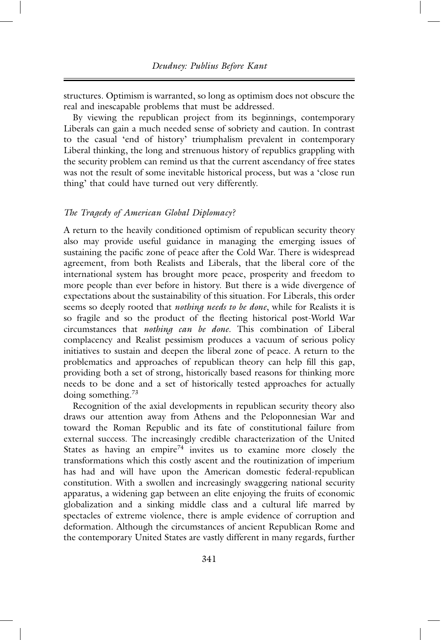structures. Optimism is warranted, so long as optimism does not obscure the real and inescapable problems that must be addressed.

By viewing the republican project from its beginnings, contemporary Liberals can gain a much needed sense of sobriety and caution. In contrast to the casual 'end of history' triumphalism prevalent in contemporary Liberal thinking, the long and strenuous history of republics grappling with the security problem can remind us that the current ascendancy of free states was not the result of some inevitable historical process, but was a 'close run thing' that could have turned out very differently.

#### *The Tragedy of American Global Diplomacy?*

A return to the heavily conditioned optimism of republican security theory also may provide useful guidance in managing the emerging issues of sustaining the pacific zone of peace after the Cold War. There is widespread agreement, from both Realists and Liberals, that the liberal core of the international system has brought more peace, prosperity and freedom to more people than ever before in history. But there is a wide divergence of expectations about the sustainability of this situation. For Liberals, this order seems so deeply rooted that *nothing needs to be done*, while for Realists it is so fragile and so the product of the fleeting historical post-World War circumstances that *nothing can be done*. This combination of Liberal complacency and Realist pessimism produces a vacuum of serious policy initiatives to sustain and deepen the liberal zone of peace. A return to the problematics and approaches of republican theory can help fill this gap, providing both a set of strong, historically based reasons for thinking more needs to be done and a set of historically tested approaches for actually doing something.73

Recognition of the axial developments in republican security theory also draws our attention away from Athens and the Peloponnesian War and toward the Roman Republic and its fate of constitutional failure from external success. The increasingly credible characterization of the United States as having an empire<sup>74</sup> invites us to examine more closely the transformations which this costly ascent and the routinization of imperium has had and will have upon the American domestic federal-republican constitution. With a swollen and increasingly swaggering national security apparatus, a widening gap between an elite enjoying the fruits of economic globalization and a sinking middle class and a cultural life marred by spectacles of extreme violence, there is ample evidence of corruption and deformation. Although the circumstances of ancient Republican Rome and the contemporary United States are vastly different in many regards, further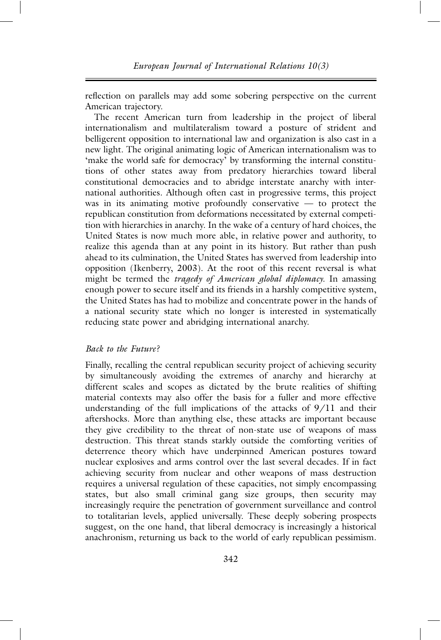reflection on parallels may add some sobering perspective on the current American trajectory.

The recent American turn from leadership in the project of liberal internationalism and multilateralism toward a posture of strident and belligerent opposition to international law and organization is also cast in a new light. The original animating logic of American internationalism was to 'make the world safe for democracy' by transforming the internal constitutions of other states away from predatory hierarchies toward liberal constitutional democracies and to abridge interstate anarchy with international authorities. Although often cast in progressive terms, this project was in its animating motive profoundly conservative — to protect the republican constitution from deformations necessitated by external competition with hierarchies in anarchy. In the wake of a century of hard choices, the United States is now much more able, in relative power and authority, to realize this agenda than at any point in its history. But rather than push ahead to its culmination, the United States has swerved from leadership into opposition (Ikenberry, 2003). At the root of this recent reversal is what might be termed the *tragedy of American global diplomacy.* In amassing enough power to secure itself and its friends in a harshly competitive system, the United States has had to mobilize and concentrate power in the hands of a national security state which no longer is interested in systematically reducing state power and abridging international anarchy.

## *Back to the Future?*

Finally, recalling the central republican security project of achieving security by simultaneously avoiding the extremes of anarchy and hierarchy at different scales and scopes as dictated by the brute realities of shifting material contexts may also offer the basis for a fuller and more effective understanding of the full implications of the attacks of 9/11 and their aftershocks. More than anything else, these attacks are important because they give credibility to the threat of non-state use of weapons of mass destruction. This threat stands starkly outside the comforting verities of deterrence theory which have underpinned American postures toward nuclear explosives and arms control over the last several decades. If in fact achieving security from nuclear and other weapons of mass destruction requires a universal regulation of these capacities, not simply encompassing states, but also small criminal gang size groups, then security may increasingly require the penetration of government surveillance and control to totalitarian levels, applied universally. These deeply sobering prospects suggest, on the one hand, that liberal democracy is increasingly a historical anachronism, returning us back to the world of early republican pessimism.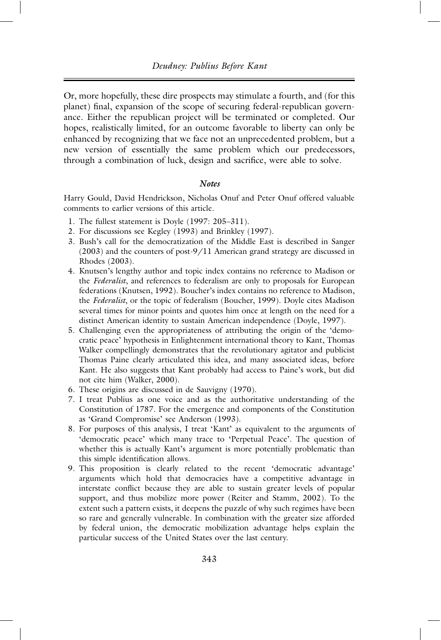Or, more hopefully, these dire prospects may stimulate a fourth, and (for this planet) final, expansion of the scope of securing federal-republican governance. Either the republican project will be terminated or completed. Our hopes, realistically limited, for an outcome favorable to liberty can only be enhanced by recognizing that we face not an unprecedented problem, but a new version of essentially the same problem which our predecessors, through a combination of luck, design and sacrifice, were able to solve.

## *Notes*

Harry Gould, David Hendrickson, Nicholas Onuf and Peter Onuf offered valuable comments to earlier versions of this article.

- 1. The fullest statement is Doyle (1997: 205–311).
- 2. For discussions see Kegley (1993) and Brinkley (1997).
- 3. Bush's call for the democratization of the Middle East is described in Sanger (2003) and the counters of post-9/11 American grand strategy are discussed in Rhodes (2003).
- 4. Knutsen's lengthy author and topic index contains no reference to Madison or the *Federalist*, and references to federalism are only to proposals for European federations (Knutsen, 1992). Boucher's index contains no reference to Madison, the *Federalist*, or the topic of federalism (Boucher, 1999). Doyle cites Madison several times for minor points and quotes him once at length on the need for a distinct American identity to sustain American independence (Doyle, 1997).
- 5. Challenging even the appropriateness of attributing the origin of the 'democratic peace' hypothesis in Enlightenment international theory to Kant, Thomas Walker compellingly demonstrates that the revolutionary agitator and publicist Thomas Paine clearly articulated this idea, and many associated ideas, before Kant. He also suggests that Kant probably had access to Paine's work, but did not cite him (Walker, 2000).
- 6. These origins are discussed in de Sauvigny (1970).
- 7. I treat Publius as one voice and as the authoritative understanding of the Constitution of 1787. For the emergence and components of the Constitution as 'Grand Compromise' see Anderson (1993).
- 8. For purposes of this analysis, I treat 'Kant' as equivalent to the arguments of 'democratic peace' which many trace to 'Perpetual Peace'. The question of whether this is actually Kant's argument is more potentially problematic than this simple identification allows.
- 9. This proposition is clearly related to the recent 'democratic advantage' arguments which hold that democracies have a competitive advantage in interstate conflict because they are able to sustain greater levels of popular support, and thus mobilize more power (Reiter and Stamm, 2002). To the extent such a pattern exists, it deepens the puzzle of why such regimes have been so rare and generally vulnerable. In combination with the greater size afforded by federal union, the democratic mobilization advantage helps explain the particular success of the United States over the last century.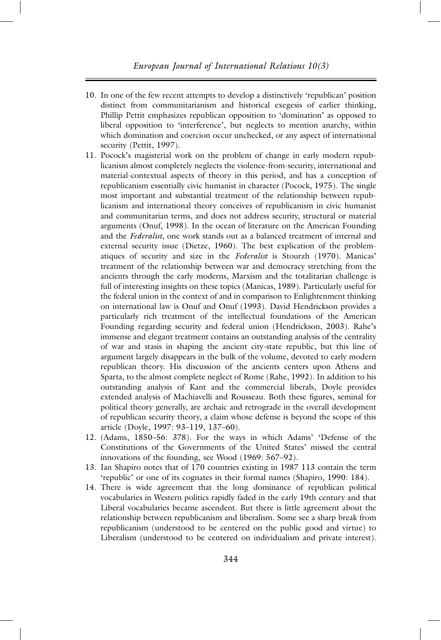- 10. In one of the few recent attempts to develop a distinctively 'republican' position distinct from communitarianism and historical exegesis of earlier thinking, Phillip Pettit emphasizes republican opposition to 'domination' as opposed to liberal opposition to 'interference', but neglects to mention anarchy, within which domination and coercion occur unchecked, or any aspect of international security (Pettit, 1997).
- 11. Pocock's magisterial work on the problem of change in early modern republicanism almost completely neglects the violence-from-security, international and material-contextual aspects of theory in this period, and has a conception of republicanism essentially civic humanist in character (Pocock, 1975). The single most important and substantial treatment of the relationship between republicanism and international theory conceives of republicanism in civic humanist and communitarian terms, and does not address security, structural or material arguments (Onuf, 1998). In the ocean of literature on the American Founding and the *Federalist*, one work stands out as a balanced treatment of internal and external security issue (Dietze, 1960). The best explication of the problematiques of security and size in the *Federalist* is Stourzh (1970). Manicas' treatment of the relationship between war and democracy stretching from the ancients through the early moderns, Marxism and the totalitarian challenge is full of interesting insights on these topics (Manicas, 1989). Particularly useful for the federal union in the context of and in comparison to Enlightenment thinking on international law is Onuf and Onuf (1993). David Hendrickson provides a particularly rich treatment of the intellectual foundations of the American Founding regarding security and federal union (Hendrickson, 2003). Rahe's immense and elegant treatment contains an outstanding analysis of the centrality of war and stasis in shaping the ancient city-state republic, but this line of argument largely disappears in the bulk of the volume, devoted to early modern republican theory. His discussion of the ancients centers upon Athens and Sparta, to the almost complete neglect of Rome (Rahe, 1992). In addition to his outstanding analysis of Kant and the commercial liberals, Doyle provides extended analysis of Machiavelli and Rousseau. Both these figures, seminal for political theory generally, are archaic and retrograde in the overall development of republican security theory, a claim whose defense is beyond the scope of this article (Doyle, 1997: 93–119, 137–60).
- 12. (Adams, 1850–56: 378). For the ways in which Adams' 'Defense of the Constitutions of the Governments of the United States' missed the central innovations of the founding, see Wood (1969: 567–92).
- 13. Ian Shapiro notes that of 170 countries existing in 1987 113 contain the term 'republic' or one of its cognates in their formal names (Shapiro, 1990: 184).
- 14. There is wide agreement that the long dominance of republican political vocabularies in Western politics rapidly faded in the early 19th century and that Liberal vocabularies became ascendent. But there is little agreement about the relationship between republicanism and liberalism. Some see a sharp break from republicanism (understood to be centered on the public good and virtue) to Liberalism (understood to be centered on individualism and private interest).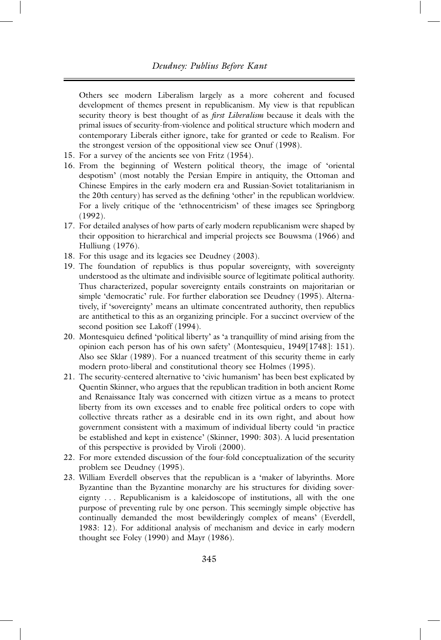Others see modern Liberalism largely as a more coherent and focused development of themes present in republicanism. My view is that republican security theory is best thought of as *first Liberalism* because it deals with the primal issues of security-from-violence and political structure which modern and contemporary Liberals either ignore, take for granted or cede to Realism. For the strongest version of the oppositional view see Onuf (1998).

- 15. For a survey of the ancients see von Fritz (1954).
- 16. From the beginning of Western political theory, the image of 'oriental despotism' (most notably the Persian Empire in antiquity, the Ottoman and Chinese Empires in the early modern era and Russian-Soviet totalitarianism in the 20th century) has served as the defining 'other' in the republican worldview. For a lively critique of the 'ethnocentricism' of these images see Springborg (1992).
- 17. For detailed analyses of how parts of early modern republicanism were shaped by their opposition to hierarchical and imperial projects see Bouwsma (1966) and Hulliung (1976).
- 18. For this usage and its legacies see Deudney (2003).
- 19. The foundation of republics is thus popular sovereignty, with sovereignty understood as the ultimate and indivisible source of legitimate political authority. Thus characterized, popular sovereignty entails constraints on majoritarian or simple 'democratic' rule. For further elaboration see Deudney (1995). Alternatively, if 'sovereignty' means an ultimate concentrated authority, then republics are antithetical to this as an organizing principle. For a succinct overview of the second position see Lakoff (1994).
- 20. Montesquieu defined 'political liberty' as 'a tranquillity of mind arising from the opinion each person has of his own safety' (Montesquieu, 1949[1748]: 151). Also see Sklar (1989). For a nuanced treatment of this security theme in early modern proto-liberal and constitutional theory see Holmes (1995).
- 21. The security-centered alternative to 'civic humanism' has been best explicated by Quentin Skinner, who argues that the republican tradition in both ancient Rome and Renaissance Italy was concerned with citizen virtue as a means to protect liberty from its own excesses and to enable free political orders to cope with collective threats rather as a desirable end in its own right, and about how government consistent with a maximum of individual liberty could 'in practice be established and kept in existence' (Skinner, 1990: 303). A lucid presentation of this perspective is provided by Viroli (2000).
- 22. For more extended discussion of the four-fold conceptualization of the security problem see Deudney (1995).
- 23. William Everdell observes that the republican is a 'maker of labyrinths. More Byzantine than the Byzantine monarchy are his structures for dividing sovereignty . . . Republicanism is a kaleidoscope of institutions, all with the one purpose of preventing rule by one person. This seemingly simple objective has continually demanded the most bewilderingly complex of means' (Everdell, 1983: 12). For additional analysis of mechanism and device in early modern thought see Foley (1990) and Mayr (1986).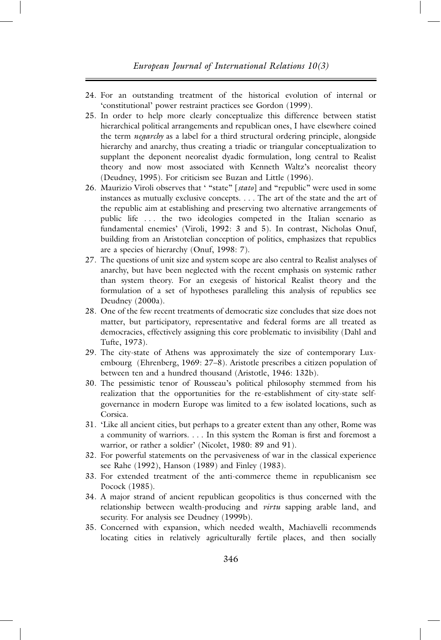- 24. For an outstanding treatment of the historical evolution of internal or 'constitutional' power restraint practices see Gordon (1999).
- 25. In order to help more clearly conceptualize this difference between statist hierarchical political arrangements and republican ones, I have elsewhere coined the term *negarchy* as a label for a third structural ordering principle, alongside hierarchy and anarchy, thus creating a triadic or triangular conceptualization to supplant the deponent neorealist dyadic formulation, long central to Realist theory and now most associated with Kenneth Waltz's neorealist theory (Deudney, 1995). For criticism see Buzan and Little (1996).
- 26. Maurizio Viroli observes that ' "state" [*stato*] and "republic" were used in some instances as mutually exclusive concepts. . . . The art of the state and the art of the republic aim at establishing and preserving two alternative arrangements of public life . . . the two ideologies competed in the Italian scenario as fundamental enemies' (Viroli, 1992: 3 and 5). In contrast, Nicholas Onuf, building from an Aristotelian conception of politics, emphasizes that republics are a species of hierarchy (Onuf, 1998: 7).
- 27. The questions of unit size and system scope are also central to Realist analyses of anarchy, but have been neglected with the recent emphasis on systemic rather than system theory. For an exegesis of historical Realist theory and the formulation of a set of hypotheses paralleling this analysis of republics see Deudney (2000a).
- 28. One of the few recent treatments of democratic size concludes that size does not matter, but participatory, representative and federal forms are all treated as democracies, effectively assigning this core problematic to invisibility (Dahl and Tufte, 1973).
- 29. The city-state of Athens was approximately the size of contemporary Luxembourg (Ehrenberg, 1969: 27–8). Aristotle prescribes a citizen population of between ten and a hundred thousand (Aristotle, 1946: 132b).
- 30. The pessimistic tenor of Rousseau's political philosophy stemmed from his realization that the opportunities for the re-establishment of city-state selfgovernance in modern Europe was limited to a few isolated locations, such as Corsica.
- 31. 'Like all ancient cities, but perhaps to a greater extent than any other, Rome was a community of warriors. . . . In this system the Roman is first and foremost a warrior, or rather a soldier' (Nicolet, 1980: 89 and 91).
- 32. For powerful statements on the pervasiveness of war in the classical experience see Rahe (1992), Hanson (1989) and Finley (1983).
- 33. For extended treatment of the anti-commerce theme in republicanism see Pocock (1985).
- 34. A major strand of ancient republican geopolitics is thus concerned with the relationship between wealth-producing and *virtu* sapping arable land, and security. For analysis see Deudney (1999b).
- 35. Concerned with expansion, which needed wealth, Machiavelli recommends locating cities in relatively agriculturally fertile places, and then socially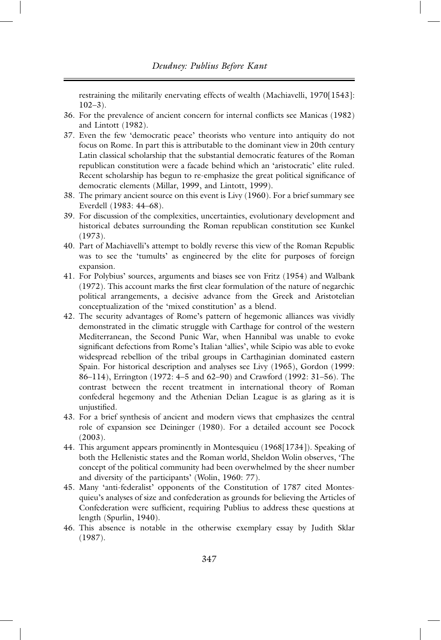restraining the militarily enervating effects of wealth (Machiavelli, 1970[1543]:  $102-3$ ).

- 36. For the prevalence of ancient concern for internal conflicts see Manicas (1982) and Lintott (1982).
- 37. Even the few 'democratic peace' theorists who venture into antiquity do not focus on Rome. In part this is attributable to the dominant view in 20th century Latin classical scholarship that the substantial democratic features of the Roman republican constitution were a facade behind which an 'aristocratic' elite ruled. Recent scholarship has begun to re-emphasize the great political significance of democratic elements (Millar, 1999, and Lintott, 1999).
- 38. The primary ancient source on this event is Livy (1960). For a brief summary see Everdell (1983: 44–68).
- 39. For discussion of the complexities, uncertainties, evolutionary development and historical debates surrounding the Roman republican constitution see Kunkel (1973).
- 40. Part of Machiavelli's attempt to boldly reverse this view of the Roman Republic was to see the 'tumults' as engineered by the elite for purposes of foreign expansion.
- 41. For Polybius' sources, arguments and biases see von Fritz (1954) and Walbank (1972). This account marks the first clear formulation of the nature of negarchic political arrangements, a decisive advance from the Greek and Aristotelian conceptualization of the 'mixed constitution' as a blend.
- 42. The security advantages of Rome's pattern of hegemonic alliances was vividly demonstrated in the climatic struggle with Carthage for control of the western Mediterranean, the Second Punic War, when Hannibal was unable to evoke significant defections from Rome's Italian 'allies', while Scipio was able to evoke widespread rebellion of the tribal groups in Carthaginian dominated eastern Spain. For historical description and analyses see Livy (1965), Gordon (1999: 86–114), Errington (1972: 4–5 and 62–90) and Crawford (1992: 31–56). The contrast between the recent treatment in international theory of Roman confederal hegemony and the Athenian Delian League is as glaring as it is unjustified.
- 43. For a brief synthesis of ancient and modern views that emphasizes the central role of expansion see Deininger (1980). For a detailed account see Pocock (2003).
- 44. This argument appears prominently in Montesquieu (1968[1734]). Speaking of both the Hellenistic states and the Roman world, Sheldon Wolin observes, 'The concept of the political community had been overwhelmed by the sheer number and diversity of the participants' (Wolin, 1960: 77).
- 45. Many 'anti-federalist' opponents of the Constitution of 1787 cited Montesquieu's analyses of size and confederation as grounds for believing the Articles of Confederation were sufficient, requiring Publius to address these questions at length (Spurlin, 1940).
- 46. This absence is notable in the otherwise exemplary essay by Judith Sklar (1987).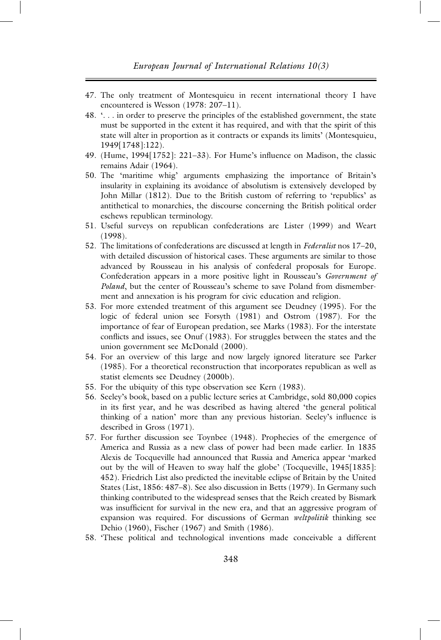- 47. The only treatment of Montesquieu in recent international theory I have encountered is Wesson (1978: 207–11).
- 48. '. . . in order to preserve the principles of the established government, the state must be supported in the extent it has required, and with that the spirit of this state will alter in proportion as it contracts or expands its limits' (Montesquieu, 1949[1748]:122).
- 49. (Hume, 1994[1752]: 221–33). For Hume's influence on Madison, the classic remains Adair (1964).
- 50. The 'maritime whig' arguments emphasizing the importance of Britain's insularity in explaining its avoidance of absolutism is extensively developed by John Millar (1812). Due to the British custom of referring to 'republics' as antithetical to monarchies, the discourse concerning the British political order eschews republican terminology.
- 51. Useful surveys on republican confederations are Lister (1999) and Weart (1998).
- 52. The limitations of confederations are discussed at length in *Federalist* nos 17–20, with detailed discussion of historical cases. These arguments are similar to those advanced by Rousseau in his analysis of confederal proposals for Europe. Confederation appears in a more positive light in Rousseau's *Government of Poland*, but the center of Rousseau's scheme to save Poland from dismemberment and annexation is his program for civic education and religion.
- 53. For more extended treatment of this argument see Deudney (1995). For the logic of federal union see Forsyth (1981) and Ostrom (1987). For the importance of fear of European predation, see Marks (1983). For the interstate conflicts and issues, see Onuf (1983). For struggles between the states and the union government see McDonald (2000).
- 54. For an overview of this large and now largely ignored literature see Parker (1985). For a theoretical reconstruction that incorporates republican as well as statist elements see Deudney (2000b).
- 55. For the ubiquity of this type observation see Kern (1983).
- 56. Seeley's book, based on a public lecture series at Cambridge, sold 80,000 copies in its first year, and he was described as having altered 'the general political thinking of a nation' more than any previous historian. Seeley's influence is described in Gross (1971).
- 57. For further discussion see Toynbee (1948). Prophecies of the emergence of America and Russia as a new class of power had been made earlier. In 1835 Alexis de Tocqueville had announced that Russia and America appear 'marked out by the will of Heaven to sway half the globe' (Tocqueville, 1945[1835]: 452). Friedrich List also predicted the inevitable eclipse of Britain by the United States (List, 1856: 487–8). See also discussion in Betts (1979). In Germany such thinking contributed to the widespread senses that the Reich created by Bismark was insufficient for survival in the new era, and that an aggressive program of expansion was required. For discussions of German *weltpolitik* thinking see Dehio (1960), Fischer (1967) and Smith (1986).
- 58. 'These political and technological inventions made conceivable a different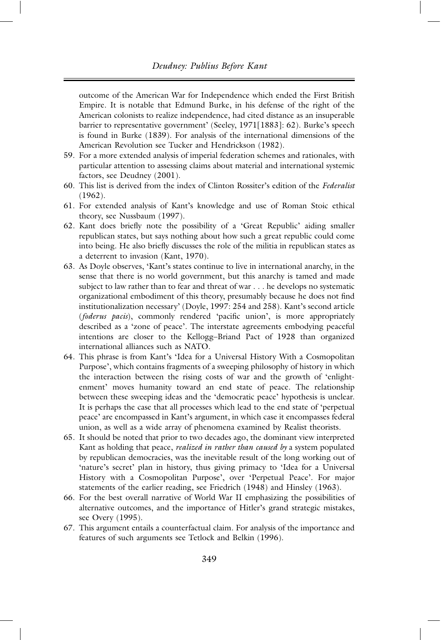outcome of the American War for Independence which ended the First British Empire. It is notable that Edmund Burke, in his defense of the right of the American colonists to realize independence, had cited distance as an insuperable barrier to representative government' (Seeley, 1971[1883]: 62). Burke's speech is found in Burke (1839). For analysis of the international dimensions of the American Revolution see Tucker and Hendrickson (1982).

- 59. For a more extended analysis of imperial federation schemes and rationales, with particular attention to assessing claims about material and international systemic factors, see Deudney (2001).
- 60. This list is derived from the index of Clinton Rossiter's edition of the *Federalist* (1962).
- 61. For extended analysis of Kant's knowledge and use of Roman Stoic ethical theory, see Nussbaum (1997).
- 62. Kant does briefly note the possibility of a 'Great Republic' aiding smaller republican states, but says nothing about how such a great republic could come into being. He also briefly discusses the role of the militia in republican states as a deterrent to invasion (Kant, 1970).
- 63. As Doyle observes, 'Kant's states continue to live in international anarchy, in the sense that there is no world government, but this anarchy is tamed and made subject to law rather than to fear and threat of war . . . he develops no systematic organizational embodiment of this theory, presumably because he does not find institutionalization necessary' (Doyle, 1997: 254 and 258). Kant's second article (*foderus pacis*), commonly rendered 'pacific union', is more appropriately described as a 'zone of peace'. The interstate agreements embodying peaceful intentions are closer to the Kellogg–Briand Pact of 1928 than organized international alliances such as NATO.
- 64. This phrase is from Kant's 'Idea for a Universal History With a Cosmopolitan Purpose', which contains fragments of a sweeping philosophy of history in which the interaction between the rising costs of war and the growth of 'enlightenment' moves humanity toward an end state of peace. The relationship between these sweeping ideas and the 'democratic peace' hypothesis is unclear. It is perhaps the case that all processes which lead to the end state of 'perpetual peace' are encompassed in Kant's argument, in which case it encompasses federal union, as well as a wide array of phenomena examined by Realist theorists.
- 65. It should be noted that prior to two decades ago, the dominant view interpreted Kant as holding that peace, *realized in rather than caused by* a system populated by republican democracies, was the inevitable result of the long working out of 'nature's secret' plan in history, thus giving primacy to 'Idea for a Universal History with a Cosmopolitan Purpose', over 'Perpetual Peace'. For major statements of the earlier reading, see Friedrich (1948) and Hinsley (1963).
- 66. For the best overall narrative of World War II emphasizing the possibilities of alternative outcomes, and the importance of Hitler's grand strategic mistakes, see Overy (1995).
- 67. This argument entails a counterfactual claim. For analysis of the importance and features of such arguments see Tetlock and Belkin (1996).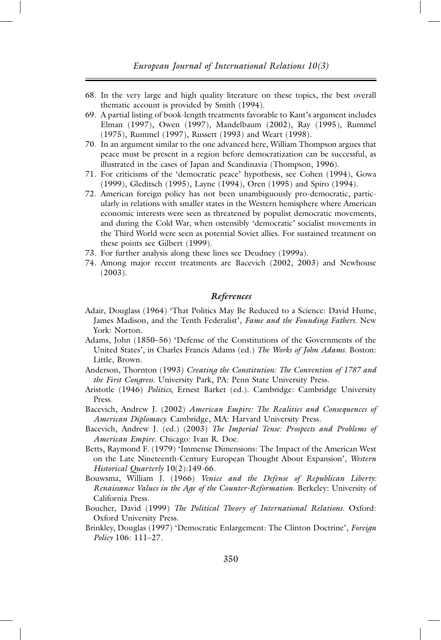- 68. In the very large and high quality literature on these topics, the best overall thematic account is provided by Smith (1994).
- 69. A partial listing of book-length treatments favorable to Kant's argument includes Elman (1997), Owen (1997), Mandelbaum (2002), Ray (1995), Rummel (1975), Rummel (1997), Russett (1993) and Weart (1998).
- 70. In an argument similar to the one advanced here, William Thompson argues that peace must be present in a region before democratization can be successful, as illustrated in the cases of Japan and Scandinavia (Thompson, 1996).
- 71. For criticisms of the 'democratic peace' hypothesis, see Cohen (1994), Gowa (1999), Gleditsch (1995), Layne (1994), Oren (1995) and Spiro (1994).
- 72. American foreign policy has not been unambiguously pro-democratic, particularly in relations with smaller states in the Western hemisphere where American economic interests were seen as threatened by populist democratic movements, and during the Cold War, when ostensibly 'democratic' socialist movements in the Third World were seen as potential Soviet allies. For sustained treatment on these points see Gilbert (1999).
- 73. For further analysis along these lines see Deudney (1999a).
- 74. Among major recent treatments are Bacevich (2002, 2003) and Newhouse (2003).

#### *References*

- Adair, Douglass (1964) 'That Politics May Be Reduced to a Science: David Hume, James Madison, and the Tenth Federalist', *Fame and the Founding Fathers*. New York: Norton.
- Adams, John (1850–56) 'Defense of the Constitutions of the Governments of the United States', in Charles Francis Adams (ed.) *The Works of John Adams*. Boston: Little, Brown.
- Anderson, Thornton (1993) *Creating the Constitution: The Convention of 1787 and the First Congress*. University Park, PA: Penn State University Press.
- Aristotle (1946) *Politics*, Ernest Barket (ed.). Cambridge: Cambridge University Press.
- Bacevich, Andrew J. (2002) *American Empire: The Realities and Consequences of American Diplomacy*. Cambridge, MA: Harvard University Press.
- Bacevich, Andrew J. (ed.) (2003) *The Imperial Tense: Prospects and Problems of American Empire*. Chicago: Ivan R. Doe.
- Betts, Raymond F. (1979) 'Immense Dimensions: The Impact of the American West on the Late Nineteenth-Century European Thought About Expansion', *Western Historical Quarterly* 10(2):149-66.
- Bouwsma, William J. (1966) *Venice and the Defense of Republican Liberty: Renaissance Values in the Age of the Counter-Reformation.* Berkeley: University of California Press.
- Boucher, David (1999) *The Political Theory of International Relations*. Oxford: Oxford University Press.
- Brinkley, Douglas (1997) 'Democratic Enlargement: The Clinton Doctrine', *Foreign Policy* 106: 111–27.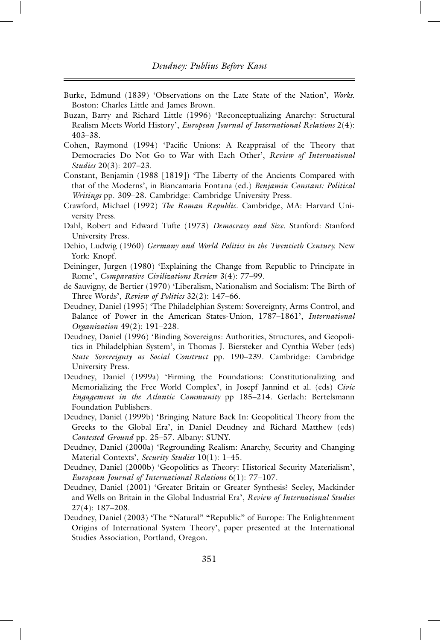- Burke, Edmund (1839) 'Observations on the Late State of the Nation', *Works*. Boston: Charles Little and James Brown.
- Buzan, Barry and Richard Little (1996) 'Reconceptualizing Anarchy: Structural Realism Meets World History', *European Journal of International Relations* 2(4): 403–38.
- Cohen, Raymond (1994) 'Pacific Unions: A Reappraisal of the Theory that Democracies Do Not Go to War with Each Other', *Review of International Studies* 20(3): 207–23.
- Constant, Benjamin (1988 [1819]) 'The Liberty of the Ancients Compared with that of the Moderns', in Biancamaria Fontana (ed.) *Benjamin Constant: Political Writings* pp. 309–28. Cambridge: Cambridge University Press.
- Crawford, Michael (1992) *The Roman Republic*. Cambridge, MA: Harvard University Press.
- Dahl, Robert and Edward Tufte (1973) *Democracy and Size*. Stanford: Stanford University Press.
- Dehio, Ludwig (1960) *Germany and World Politics in the Twentieth Century*. New York: Knopf.
- Deininger, Jurgen (1980) 'Explaining the Change from Republic to Principate in Rome', *Comparative Civilizations Review* 3(4): 77–99.
- de Sauvigny, de Bertier (1970) 'Liberalism, Nationalism and Socialism: The Birth of Three Words', *Review of Politics* 32(2): 147–66.
- Deudney, Daniel (1995) 'The Philadelphian System: Sovereignty, Arms Control, and Balance of Power in the American States-Union, 1787–1861', *International Organization* 49(2): 191–228.
- Deudney, Daniel (1996) 'Binding Sovereigns: Authorities, Structures, and Geopolitics in Philadelphian System', in Thomas J. Biersteker and Cynthia Weber (eds) *State Sovereignty as Social Construct* pp. 190–239. Cambridge: Cambridge University Press.
- Deudney, Daniel (1999a) 'Firming the Foundations: Constitutionalizing and Memorializing the Free World Complex', in Josepf Jannind et al. (eds) *Civic Engagement in the Atlantic Community* pp 185–214. Gerlach: Bertelsmann Foundation Publishers.
- Deudney, Daniel (1999b) 'Bringing Nature Back In: Geopolitical Theory from the Greeks to the Global Era', in Daniel Deudney and Richard Matthew (eds) *Contested Ground* pp. 25–57. Albany: SUNY.
- Deudney, Daniel (2000a) 'Regrounding Realism: Anarchy, Security and Changing Material Contexts', *Security Studies* 10(1): 1–45.
- Deudney, Daniel (2000b) 'Geopolitics as Theory: Historical Security Materialism', *European Journal of International Relations* 6(1): 77–107.
- Deudney, Daniel (2001) 'Greater Britain or Greater Synthesis? Seeley, Mackinder and Wells on Britain in the Global Industrial Era', *Review of International Studies* 27(4): 187–208.
- Deudney, Daniel (2003) 'The "Natural" "Republic" of Europe: The Enlightenment Origins of International System Theory', paper presented at the International Studies Association, Portland, Oregon.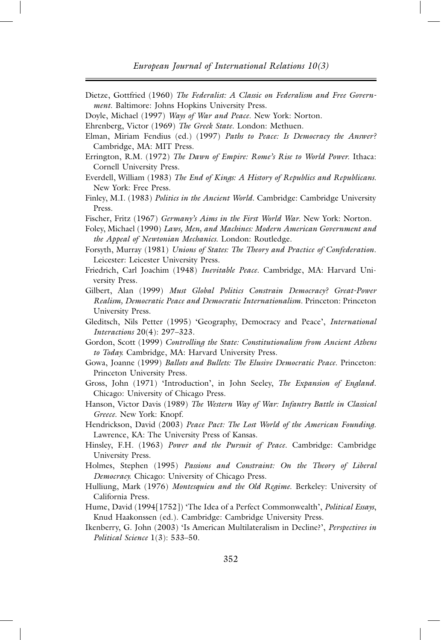Dietze, Gottfried (1960) *The Federalist: A Classic on Federalism and Free Government*. Baltimore: Johns Hopkins University Press.

Doyle, Michael (1997) *Ways of War and Peace*. New York: Norton.

Ehrenberg, Victor (1969) *The Greek State*. London: Methuen.

- Elman, Miriam Fendius (ed.) (1997) *Paths to Peace: Is Democracy the Answer?* Cambridge, MA: MIT Press.
- Errington, R.M. (1972) *The Dawn of Empire: Rome's Rise to World Power*. Ithaca: Cornell University Press.
- Everdell, William (1983) *The End of Kings: A History of Republics and Republicans.* New York: Free Press.
- Finley, M.I. (1983) *Politics in the Ancient World*. Cambridge: Cambridge University Press.

Fischer, Fritz (1967) *Germany's Aims in the First World War*. New York: Norton.

- Foley, Michael (1990) *Laws, Men, and Machines: Modern American Government and the Appeal of Newtonian Mechanics*. London: Routledge.
- Forsyth, Murray (1981) *Unions of States: The Theory and Practice of Confederation*. Leicester: Leicester University Press.
- Friedrich, Carl Joachim (1948) *Inevitable Peace*. Cambridge, MA: Harvard University Press.
- Gilbert, Alan (1999) *Must Global Politics Constrain Democracy? Great-Power Realism, Democratic Peace and Democratic Internationalism*. Princeton: Princeton University Press.
- Gleditsch, Nils Petter (1995) 'Geography, Democracy and Peace', *International Interactions* 20(4): 297–323.
- Gordon, Scott (1999) *Controlling the State: Constitutionalism from Ancient Athens to Today*. Cambridge, MA: Harvard University Press.
- Gowa, Joanne (1999) *Ballots and Bullets: The Elusive Democratic Peace*. Princeton: Princeton University Press.
- Gross, John (1971) 'Introduction', in John Seeley, *The Expansion of England*. Chicago: University of Chicago Press.
- Hanson, Victor Davis (1989) *The Western Way of War: Infantry Battle in Classical Greece*. New York: Knopf.
- Hendrickson, David (2003) *Peace Pact: The Lost World of the American Founding*. Lawrence, KA: The University Press of Kansas.
- Hinsley, F.H. (1963) *Power and the Pursuit of Peace*. Cambridge: Cambridge University Press.
- Holmes, Stephen (1995) *Passions and Constraint: On the Theory of Liberal Democracy*. Chicago: University of Chicago Press.
- Hulliung, Mark (1976) *Montesquieu and the Old Regime*. Berkeley: University of California Press.
- Hume, David (1994[1752]) 'The Idea of a Perfect Commonwealth', *Political Essays*, Knud Haakonssen (ed.). Cambridge: Cambridge University Press.
- Ikenberry, G. John (2003) 'Is American Multilateralism in Decline?', *Perspectives in Political Science* 1(3): 533–50.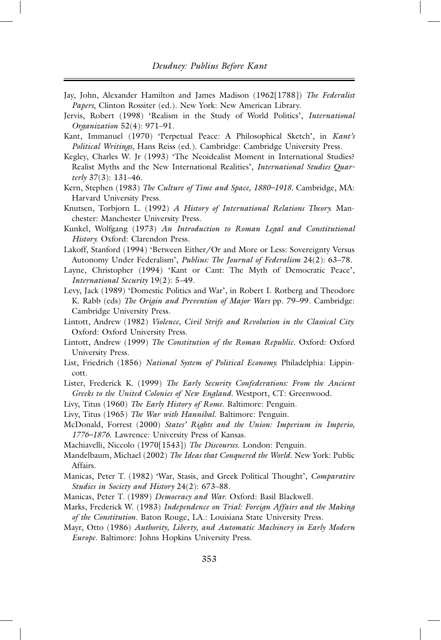- Jay, John, Alexander Hamilton and James Madison (1962[1788]) *The Federalist Papers*, Clinton Rossiter (ed.). New York: New American Library.
- Jervis, Robert (1998) 'Realism in the Study of World Politics', *International Organization* 52(4): 971–91.
- Kant, Immanuel (1970) 'Perpetual Peace: A Philosophical Sketch', in *Kant's Political Writings*, Hans Reiss (ed.). Cambridge: Cambridge University Press.
- Kegley, Charles W. Jr (1993) 'The Neoidealist Moment in International Studies? Realist Myths and the New International Realities', *International Studies Quarterly* 37(3): 131–46.
- Kern, Stephen (1983) *The Culture of Time and Space, 1880–1918*. Cambridge, MA: Harvard University Press.
- Knutsen, Torbjorn L. (1992) *A History of International Relations Theory*. Manchester: Manchester University Press.
- Kunkel, Wolfgang (1973) *An Introduction to Roman Legal and Constitutional History*. Oxford: Clarendon Press.
- Lakoff, Stanford (1994) 'Between Either/Or and More or Less: Sovereignty Versus Autonomy Under Federalism', *Publius: The Journal of Federalism* 24(2): 63–78.
- Layne, Christopher (1994) 'Kant or Cant: The Myth of Democratic Peace', *International Security* 19(2): 5–49.
- Levy, Jack (1989) 'Domestic Politics and War', in Robert I. Rotberg and Theodore K. Rabb (eds) *The Origin and Prevention of Major Wars* pp. 79–99. Cambridge: Cambridge University Press.
- Lintott, Andrew (1982) *Violence, Civil Strife and Revolution in the Classical City*. Oxford: Oxford University Press.
- Lintott, Andrew (1999) *The Constitution of the Roman Republic*. Oxford: Oxford University Press.
- List, Friedrich (1856) *National System of Political Economy*. Philadelphia: Lippincott.
- Lister, Frederick K. (1999) *The Early Security Confederations: From the Ancient Greeks to the United Colonies of New England.* Westport, CT: Greenwood.
- Livy, Titus (1960) *The Early History of Rome*. Baltimore: Penguin.
- Livy, Titus (1965) *The War with Hannibal*. Baltimore: Penguin.
- McDonald, Forrest (2000) *States' Rights and the Union: Imperium in Imperio, 1776–1876*. Lawrence: University Press of Kansas.
- Machiavelli, Niccolo (1970[1543]) *The Discourses*. London: Penguin.
- Mandelbaum, Michael (2002) *The Ideas that Conquered the World*. New York: Public Affairs.
- Manicas, Peter T. (1982) 'War, Stasis, and Greek Political Thought', *Comparative Studies in Society and History* 24(2): 673–88.
- Manicas, Peter T. (1989) *Democracy and War*. Oxford: Basil Blackwell.
- Marks, Frederick W. (1983) *Independence on Trial: Foreign Affairs and the Making of the Constitution*. Baton Rouge, LA.: Louisiana State University Press.
- Mayr, Otto (1986) *Authority, Liberty, and Automatic Machinery in Early Modern Europe*. Baltimore: Johns Hopkins University Press.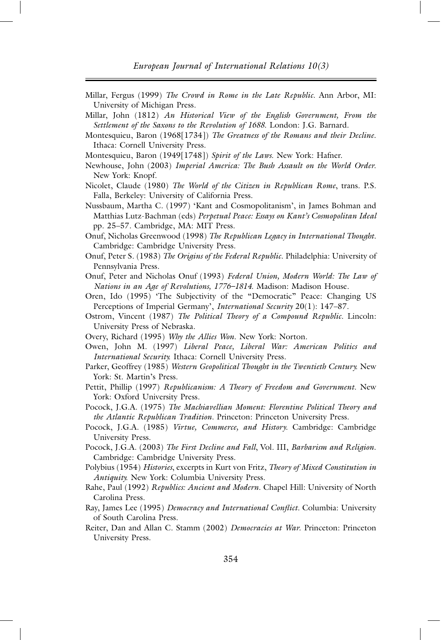- Millar, Fergus (1999) *The Crowd in Rome in the Late Republic*. Ann Arbor, MI: University of Michigan Press.
- Millar, John (1812) *An Historical View of the English Government, From the Settlement of the Saxons to the Revolution of 1688*. London: J.G. Barnard.
- Montesquieu, Baron (1968[1734]) *The Greatness of the Romans and their Decline*. Ithaca: Cornell University Press.
- Montesquieu, Baron (1949[1748]) *Spirit of the Laws*. New York: Hafner.
- Newhouse, John (2003) *Imperial America: The Bush Assault on the World Order*. New York: Knopf.
- Nicolet, Claude (1980) *The World of the Citizen in Republican Rome*, trans. P.S. Falla, Berkeley: University of California Press.
- Nussbaum, Martha C. (1997) 'Kant and Cosmopolitanism', in James Bohman and Matthias Lutz-Bachman (eds) *Perpetual Peace: Essays on Kant's Cosmopolitan Ideal* pp. 25–57. Cambridge, MA: MIT Press.
- Onuf, Nicholas Greenwood (1998) *The Republican Legacy in International Thought*. Cambridge: Cambridge University Press.
- Onuf, Peter S. (1983) *The Origins of the Federal Republic*. Philadelphia: University of Pennsylvania Press.
- Onuf, Peter and Nicholas Onuf (1993) *Federal Union, Modern World: The Law of Nations in an Age of Revolutions, 1776–1814*. Madison: Madison House.
- Oren, Ido (1995) 'The Subjectivity of the "Democratic" Peace: Changing US Perceptions of Imperial Germany', *International Security* 20(1): 147–87.
- Ostrom, Vincent (1987) *The Political Theory of a Compound Republic.* Lincoln: University Press of Nebraska.
- Overy, Richard (1995) *Why the Allies Won*. New York: Norton.
- Owen, John M. (1997) *Liberal Peace, Liberal War: American Politics and International Security*. Ithaca: Cornell University Press.
- Parker, Geoffrey (1985) *Western Geopolitical Thought in the Twentieth Century*. New York: St. Martin's Press.
- Pettit, Phillip (1997) *Republicanism: A Theory of Freedom and Government*. New York: Oxford University Press.
- Pocock, J.G.A. (1975) *The Machiavellian Moment: Florentine Political Theory and the Atlantic Republican Tradition.* Princeton: Princeton University Press.
- Pocock, J.G.A. (1985) *Virtue, Commerce, and History.* Cambridge: Cambridge University Press.
- Pocock, J.G.A. (2003) *The First Decline and Fall*, Vol. III, *Barbarism and Religion*. Cambridge: Cambridge University Press.
- Polybius (1954) *Histories*, excerpts in Kurt von Fritz, *Theory of Mixed Constitution in Antiquity*. New York: Columbia University Press.
- Rahe, Paul (1992) *Republics: Ancient and Modern*. Chapel Hill: University of North Carolina Press.
- Ray, James Lee (1995) *Democracy and International Conflict.* Columbia: University of South Carolina Press.
- Reiter, Dan and Allan C. Stamm (2002) *Democracies at War*. Princeton: Princeton University Press.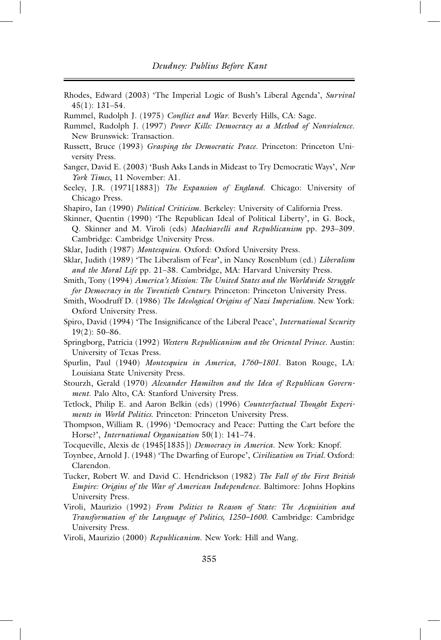- Rhodes, Edward (2003) 'The Imperial Logic of Bush's Liberal Agenda', *Survival* 45(1): 131–54.
- Rummel, Rudolph J. (1975) *Conflict and War*. Beverly Hills, CA: Sage.
- Rummel, Rudolph J. (1997) *Power Kills: Democracy as a Method of Nonviolence*. New Brunswick: Transaction.
- Russett, Bruce (1993) *Grasping the Democratic Peace*. Princeton: Princeton University Press.
- Sanger, David E. (2003) 'Bush Asks Lands in Mideast to Try Democratic Ways', *New York Times*, 11 November: A1.
- Seeley, J.R. (1971[1883]) *The Expansion of England*. Chicago: University of Chicago Press.
- Shapiro, Ian (1990) *Political Criticism*. Berkeley: University of California Press.

Skinner, Quentin (1990) 'The Republican Ideal of Political Liberty', in G. Bock, Q. Skinner and M. Viroli (eds) *Machiavelli and Republicanism* pp. 293–309. Cambridge: Cambridge University Press.

Sklar, Judith (1987) *Montesquieu*. Oxford: Oxford University Press.

- Sklar, Judith (1989) 'The Liberalism of Fear', in Nancy Rosenblum (ed.) *Liberalism and the Moral Life* pp. 21–38. Cambridge, MA: Harvard University Press.
- Smith, Tony (1994) *America's Mission: The United States and the Worldwide Struggle for Democracy in the Twentieth Century*. Princeton: Princeton University Press.
- Smith, Woodruff D. (1986) *The Ideological Origins of Nazi Imperialism*. New York: Oxford University Press.
- Spiro, David (1994) 'The Insignificance of the Liberal Peace', *International Security*  $19(2): 50-86.$
- Springborg, Patricia (1992) *Western Republicanism and the Oriental Prince*. Austin: University of Texas Press.
- Spurlin, Paul (1940) *Montesquieu in America, 1760–1801*. Baton Rouge, LA: Louisiana State University Press.

Stourzh, Gerald (1970) *Alexander Hamilton and the Idea of Republican Government*. Palo Alto, CA: Stanford University Press.

- Tetlock, Philip E. and Aaron Belkin (eds) (1996) *Counterfactual Thought Experiments in World Politics*. Princeton: Princeton University Press.
- Thompson, William R. (1996) 'Democracy and Peace: Putting the Cart before the Horse?', *International Organization* 50(1): 141–74.
- Tocqueville, Alexis de (1945[1835]) *Democracy in America*. New York: Knopf.
- Toynbee, Arnold J. (1948) 'The Dwarfing of Europe', *Civilization on Trial.* Oxford: Clarendon.
- Tucker, Robert W. and David C. Hendrickson (1982) *The Fall of the First British Empire: Origins of the War of American Independence*. Baltimore: Johns Hopkins University Press.
- Viroli, Maurizio (1992) *From Politics to Reason of State: The Acquisition and Transformation of the Language of Politics, 1250–1600*. Cambridge: Cambridge University Press.
- Viroli, Maurizio (2000) *Republicanism*. New York: Hill and Wang.